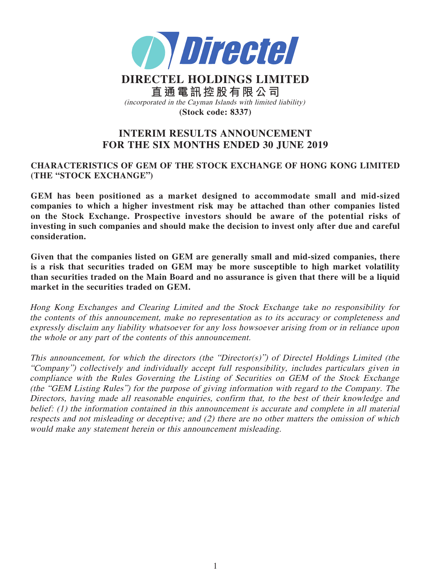

**DIRECTEL HOLDINGS LIMITED 直通電訊控股有限公司** (incorporated in the Cayman Islands with limited liability) **(Stock code: 8337)**

# **INTERIM RESULTS ANNOUNCEMENT FOR THE SIX MONTHS ENDED 30 JUNE 2019**

## **CHARACTERISTICS OF GEM OF THE STOCK EXCHANGE OF HONG KONG LIMITED (THE "STOCK EXCHANGE")**

**GEM has been positioned as a market designed to accommodate small and mid-sized companies to which a higher investment risk may be attached than other companies listed on the Stock Exchange. Prospective investors should be aware of the potential risks of investing in such companies and should make the decision to invest only after due and careful consideration.**

**Given that the companies listed on GEM are generally small and mid-sized companies, there is a risk that securities traded on GEM may be more susceptible to high market volatility than securities traded on the Main Board and no assurance is given that there will be a liquid market in the securities traded on GEM.**

Hong Kong Exchanges and Clearing Limited and the Stock Exchange take no responsibility for the contents of this announcement, make no representation as to its accuracy or completeness and expressly disclaim any liability whatsoever for any loss howsoever arising from or in reliance upon the whole or any part of the contents of this announcement.

This announcement, for which the directors (the "Director(s)") of Directel Holdings Limited (the "Company") collectively and individually accept full responsibility, includes particulars given in compliance with the Rules Governing the Listing of Securities on GEM of the Stock Exchange (the "GEM Listing Rules") for the purpose of giving information with regard to the Company. The Directors, having made all reasonable enquiries, confirm that, to the best of their knowledge and belief: (1) the information contained in this announcement is accurate and complete in all material respects and not misleading or deceptive; and (2) there are no other matters the omission of which would make any statement herein or this announcement misleading.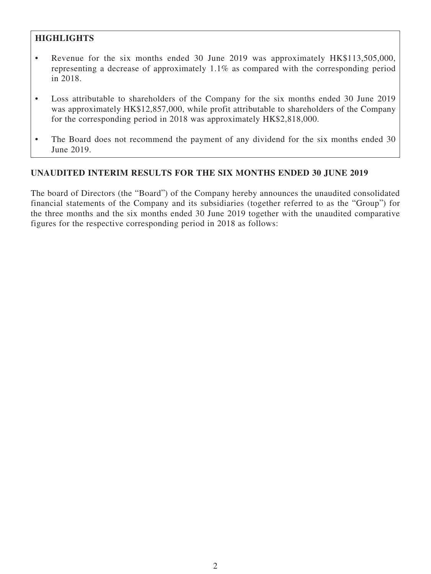# **HIGHLIGHTS**

- Revenue for the six months ended 30 June 2019 was approximately HK\$113,505,000, representing a decrease of approximately 1.1% as compared with the corresponding period in 2018.
- Loss attributable to shareholders of the Company for the six months ended 30 June 2019 was approximately HK\$12,857,000, while profit attributable to shareholders of the Company for the corresponding period in 2018 was approximately HK\$2,818,000.
- The Board does not recommend the payment of any dividend for the six months ended 30 June 2019.

# **UNAUDITED INTERIM RESULTS FOR THE SIX MONTHS ENDED 30 JUNE 2019**

The board of Directors (the "Board") of the Company hereby announces the unaudited consolidated financial statements of the Company and its subsidiaries (together referred to as the "Group") for the three months and the six months ended 30 June 2019 together with the unaudited comparative figures for the respective corresponding period in 2018 as follows: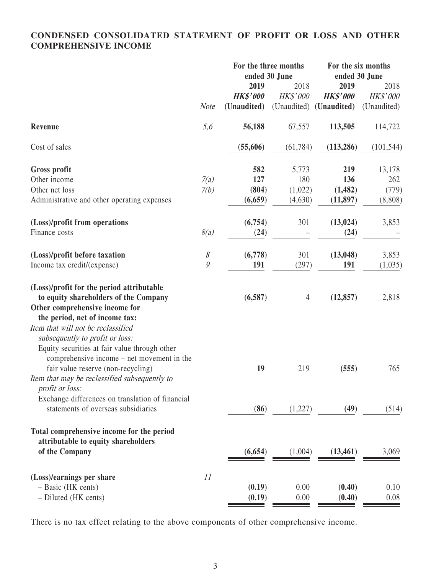# **CONDENSED CONSOLIDATED STATEMENT OF PROFIT OR LOSS AND OTHER COMPREHENSIVE INCOME**

|                                                                                                                                   | For the three months<br>ended 30 June |                         |                  | For the six months<br>ended 30 June |                         |  |
|-----------------------------------------------------------------------------------------------------------------------------------|---------------------------------------|-------------------------|------------------|-------------------------------------|-------------------------|--|
|                                                                                                                                   |                                       | 2019<br><b>HK\$'000</b> | 2018<br>HK\$'000 | 2019<br><b>HK\$'000</b>             | 2018<br><b>HK\$'000</b> |  |
|                                                                                                                                   | <b>Note</b>                           | (Unaudited)             | (Unaudited)      | (Unaudited)                         | (Unaudited)             |  |
| Revenue                                                                                                                           | 5,6                                   | 56,188                  | 67,557           | 113,505                             | 114,722                 |  |
| Cost of sales                                                                                                                     |                                       | (55,606)                | (61, 784)        | (113, 286)                          | (101, 544)              |  |
| Gross profit                                                                                                                      |                                       | 582                     | 5,773            | 219                                 | 13,178                  |  |
| Other income                                                                                                                      | 7(a)                                  | 127                     | 180              | 136                                 | 262                     |  |
| Other net loss                                                                                                                    | 7(b)                                  | (804)                   | (1,022)          | (1, 482)                            | (779)                   |  |
| Administrative and other operating expenses                                                                                       |                                       | (6,659)                 | (4,630)          | (11, 897)                           | (8,808)                 |  |
| (Loss)/profit from operations                                                                                                     |                                       | (6,754)                 | 301              | (13, 024)                           | 3,853                   |  |
| Finance costs                                                                                                                     | 8(a)                                  | (24)                    |                  | (24)                                |                         |  |
| (Loss)/profit before taxation                                                                                                     | $\mathcal S$                          | (6,778)                 | 301              | (13, 048)                           | 3,853                   |  |
| Income tax credit/(expense)                                                                                                       | $\mathcal{G}$                         | 191                     | (297)            | 191                                 | (1,035)                 |  |
| (Loss)/profit for the period attributable<br>to equity shareholders of the Company<br>Other comprehensive income for              |                                       | (6,587)                 | $\overline{4}$   | (12, 857)                           | 2,818                   |  |
| the period, net of income tax:<br>Item that will not be reclassified                                                              |                                       |                         |                  |                                     |                         |  |
| subsequently to profit or loss:<br>Equity securities at fair value through other                                                  |                                       |                         |                  |                                     |                         |  |
| comprehensive income – net movement in the<br>fair value reserve (non-recycling)<br>Item that may be reclassified subsequently to |                                       | 19                      | 219              | (555)                               | 765                     |  |
| profit or loss:<br>Exchange differences on translation of financial                                                               |                                       |                         |                  |                                     |                         |  |
| statements of overseas subsidiaries                                                                                               |                                       | (86)                    | (1,227)          | (49)                                | (514)                   |  |
| Total comprehensive income for the period<br>attributable to equity shareholders                                                  |                                       |                         |                  |                                     |                         |  |
| of the Company                                                                                                                    |                                       | (6, 654)                | (1,004)          | (13, 461)                           | 3,069                   |  |
| (Loss)/earnings per share                                                                                                         | 11                                    |                         |                  |                                     |                         |  |
| - Basic (HK cents)                                                                                                                |                                       | (0.19)                  | 0.00             | (0.40)                              | 0.10                    |  |
| - Diluted (HK cents)                                                                                                              |                                       | (0.19)                  | 0.00             | (0.40)                              | 0.08                    |  |
|                                                                                                                                   |                                       |                         |                  |                                     |                         |  |

There is no tax effect relating to the above components of other comprehensive income.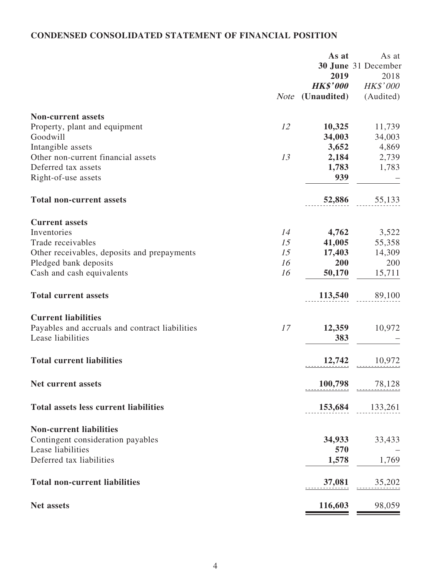# **CONDENSED CONSOLIDATED STATEMENT OF FINANCIAL POSITION**

|                                                |             | As at           | As at                       |
|------------------------------------------------|-------------|-----------------|-----------------------------|
|                                                |             | 2019            | 30 June 31 December<br>2018 |
|                                                |             | <b>HK\$'000</b> | HK\$'000                    |
|                                                | <b>Note</b> | (Unaudited)     | (Audited)                   |
| <b>Non-current assets</b>                      |             |                 |                             |
| Property, plant and equipment                  | 12          | 10,325          | 11,739                      |
| Goodwill                                       |             | 34,003          | 34,003                      |
| Intangible assets                              |             | 3,652           | 4,869                       |
| Other non-current financial assets             | 13          | 2,184           | 2,739                       |
| Deferred tax assets                            |             | 1,783           | 1,783                       |
| Right-of-use assets                            |             | 939             |                             |
| <b>Total non-current assets</b>                |             | 52,886          | 55,133                      |
| <b>Current assets</b>                          |             |                 |                             |
| Inventories                                    | 14          | 4,762           | 3,522                       |
| Trade receivables                              | 15          | 41,005          | 55,358                      |
| Other receivables, deposits and prepayments    | 15          | 17,403          | 14,309                      |
| Pledged bank deposits                          | 16          | 200             | 200                         |
| Cash and cash equivalents                      | 16          | 50,170          | 15,711                      |
| <b>Total current assets</b>                    |             | 113,540         | 89,100                      |
| <b>Current liabilities</b>                     |             |                 |                             |
| Payables and accruals and contract liabilities | 17          | 12,359          | 10,972                      |
| Lease liabilities                              |             | 383             |                             |
| <b>Total current liabilities</b>               |             | 12,742          | 10,972                      |
| Net current assets                             |             | 100,798         | 78,128                      |
| <b>Total assets less current liabilities</b>   |             | 153,684         | 133,261                     |
| <b>Non-current liabilities</b>                 |             |                 |                             |
| Contingent consideration payables              |             | 34,933          | 33,433                      |
| Lease liabilities                              |             | 570             |                             |
| Deferred tax liabilities                       |             | 1,578           | 1,769                       |
| <b>Total non-current liabilities</b>           |             | 37,081          | 35,202                      |
| <b>Net assets</b>                              |             | 116,603         | 98,059                      |
|                                                |             |                 |                             |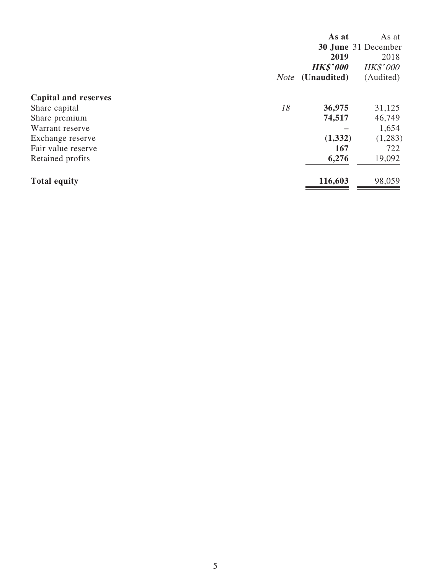|                             | As at                   | As at               |
|-----------------------------|-------------------------|---------------------|
|                             |                         | 30 June 31 December |
|                             | 2019                    | 2018                |
|                             | <b>HK\$'000</b>         | <b>HK\$'000</b>     |
|                             | <i>Note</i> (Unaudited) | (Audited)           |
| <b>Capital and reserves</b> |                         |                     |
| 18<br>Share capital         | 36,975                  | 31,125              |
| Share premium               | 74,517                  | 46,749              |
| Warrant reserve             |                         | 1,654               |
| Exchange reserve            | (1, 332)                | (1,283)             |
| Fair value reserve          | 167                     | 722                 |
| Retained profits            | 6,276                   | 19,092              |
| <b>Total equity</b>         | 116,603                 | 98,059              |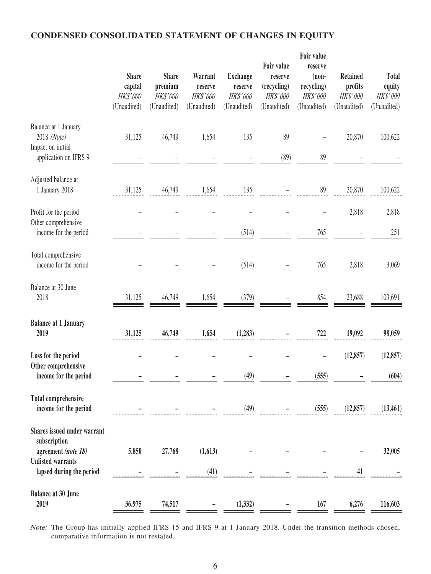# **CONDENSED CONSOLIDATED STATEMENT OF CHANGES IN EQUITY**

|                                                                                                                            | <b>Share</b><br>capital<br><b>HK\$'000</b><br>(Unaudited) | <b>Share</b><br>premium<br>HK\$'000<br>(Unaudited) | Warrant<br>reserve<br><b>HK\$'000</b><br>(Unaudited) | <b>Exchange</b><br>reserve<br>HK\$'000<br>(Unaudited) | Fair value<br>reserve<br>(recycling)<br><b>HK\$'000</b><br>(Unaudited) | Fair value<br>reserve<br>$(non-$<br>recycling)<br>HK\$'000<br>(Unaudited) | <b>Retained</b><br>profits<br>HK\$'000<br>(Unaudited) | <b>Total</b><br>equity<br><b>HK\$'000</b><br>(Unaudited) |
|----------------------------------------------------------------------------------------------------------------------------|-----------------------------------------------------------|----------------------------------------------------|------------------------------------------------------|-------------------------------------------------------|------------------------------------------------------------------------|---------------------------------------------------------------------------|-------------------------------------------------------|----------------------------------------------------------|
| Balance at 1 January<br>2018 (Note)<br>Impact on initial<br>application on IFRS 9                                          | 31,125                                                    | 46,749                                             | 1,654                                                | 135                                                   | 89<br>(89)                                                             | 89                                                                        | 20,870                                                | 100,622                                                  |
| Adjusted balance at<br>1 January 2018                                                                                      | 31,125                                                    | 46,749                                             | 1,654                                                | 135                                                   |                                                                        | 89                                                                        | 20,870                                                | 100,622                                                  |
| Profit for the period<br>Other comprehensive<br>income for the period                                                      |                                                           |                                                    |                                                      | (514)                                                 |                                                                        | 765                                                                       | 2,818                                                 | 2,818<br>251                                             |
| Total comprehensive<br>income for the period                                                                               |                                                           |                                                    |                                                      | (514)                                                 |                                                                        | 765                                                                       | 2,818                                                 | 3,069                                                    |
| Balance at 30 June<br>2018                                                                                                 | 31,125                                                    | 46,749                                             | 1,654                                                | (379)                                                 |                                                                        | 854                                                                       | 23,688                                                | 103,691                                                  |
| <b>Balance at 1 January</b><br>2019                                                                                        | 31,125                                                    | 46,749                                             | 1,654                                                | (1, 283)                                              |                                                                        | 722                                                                       | 19,092                                                | 98,059                                                   |
| Loss for the period<br>Other comprehensive<br>income for the period                                                        |                                                           |                                                    |                                                      | (49)                                                  |                                                                        | (555)                                                                     | (12, 857)                                             | (12, 857)<br>(604)                                       |
| <b>Total comprehensive</b><br>income for the period                                                                        |                                                           |                                                    |                                                      | (49)                                                  |                                                                        | (555)                                                                     | (12, 857)                                             | (13, 461)                                                |
| Shares issued under warrant<br>subscription<br>agreement (note 18)<br><b>Unlisted warrants</b><br>lapsed during the period | 5,850                                                     | 27,768                                             | (1,613)<br>(41)                                      |                                                       |                                                                        |                                                                           | 41                                                    | 32,005                                                   |
| <b>Balance at 30 June</b><br>2019                                                                                          | 36,975                                                    | 74,517                                             |                                                      | (1, 332)                                              |                                                                        | 167                                                                       | 6,276                                                 | 116,603                                                  |

Note: The Group has initially applied IFRS 15 and IFRS 9 at 1 January 2018. Under the transition methods chosen, comparative information is not restated.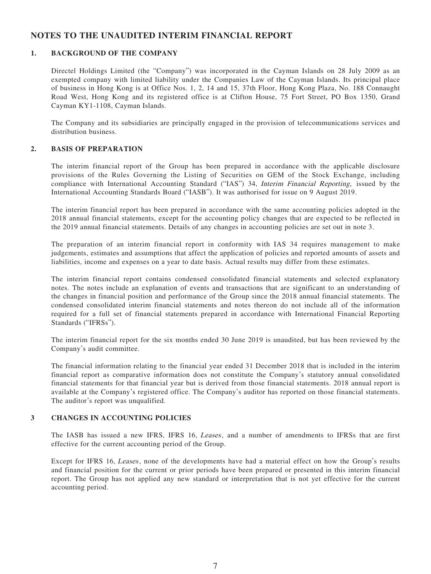## **NOTES TO THE UNAUDITED INTERIM FINANCIAL REPORT**

### **1. BACKGROUND OF THE COMPANY**

Directel Holdings Limited (the "Company") was incorporated in the Cayman Islands on 28 July 2009 as an exempted company with limited liability under the Companies Law of the Cayman Islands. Its principal place of business in Hong Kong is at Office Nos. 1, 2, 14 and 15, 37th Floor, Hong Kong Plaza, No. 188 Connaught Road West, Hong Kong and its registered office is at Clifton House, 75 Fort Street, PO Box 1350, Grand Cayman KY1-1108, Cayman Islands.

The Company and its subsidiaries are principally engaged in the provision of telecommunications services and distribution business.

### **2. BASIS OF PREPARATION**

The interim financial report of the Group has been prepared in accordance with the applicable disclosure provisions of the Rules Governing the Listing of Securities on GEM of the Stock Exchange, including compliance with International Accounting Standard ("IAS") 34, Interim Financial Reporting, issued by the International Accounting Standards Board ("IASB"). It was authorised for issue on 9 August 2019.

The interim financial report has been prepared in accordance with the same accounting policies adopted in the 2018 annual financial statements, except for the accounting policy changes that are expected to be reflected in the 2019 annual financial statements. Details of any changes in accounting policies are set out in note 3.

The preparation of an interim financial report in conformity with IAS 34 requires management to make judgements, estimates and assumptions that affect the application of policies and reported amounts of assets and liabilities, income and expenses on a year to date basis. Actual results may differ from these estimates.

The interim financial report contains condensed consolidated financial statements and selected explanatory notes. The notes include an explanation of events and transactions that are significant to an understanding of the changes in financial position and performance of the Group since the 2018 annual financial statements. The condensed consolidated interim financial statements and notes thereon do not include all of the information required for a full set of financial statements prepared in accordance with International Financial Reporting Standards ("IFRSs").

The interim financial report for the six months ended 30 June 2019 is unaudited, but has been reviewed by the Company's audit committee.

The financial information relating to the financial year ended 31 December 2018 that is included in the interim financial report as comparative information does not constitute the Company's statutory annual consolidated financial statements for that financial year but is derived from those financial statements. 2018 annual report is available at the Company's registered office. The Company's auditor has reported on those financial statements. The auditor's report was unqualified.

### **3 CHANGES IN ACCOUNTING POLICIES**

The IASB has issued a new IFRS, IFRS 16, Leases, and a number of amendments to IFRSs that are first effective for the current accounting period of the Group.

Except for IFRS 16, Leases, none of the developments have had a material effect on how the Group's results and financial position for the current or prior periods have been prepared or presented in this interim financial report. The Group has not applied any new standard or interpretation that is not yet effective for the current accounting period.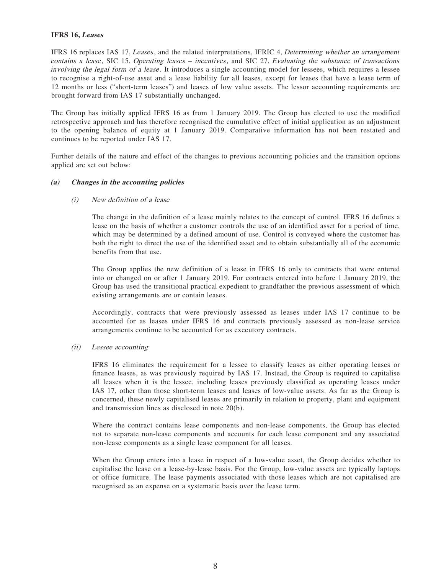### **IFRS 16, Leases**

IFRS 16 replaces IAS 17, Leases, and the related interpretations, IFRIC 4, Determining whether an arrangement contains a lease, SIC 15, Operating leases – incentives, and SIC 27, Evaluating the substance of transactions involving the legal form of a lease. It introduces a single accounting model for lessees, which requires a lessee to recognise a right-of-use asset and a lease liability for all leases, except for leases that have a lease term of 12 months or less ("short-term leases") and leases of low value assets. The lessor accounting requirements are brought forward from IAS 17 substantially unchanged.

The Group has initially applied IFRS 16 as from 1 January 2019. The Group has elected to use the modified retrospective approach and has therefore recognised the cumulative effect of initial application as an adjustment to the opening balance of equity at 1 January 2019. Comparative information has not been restated and continues to be reported under IAS 17.

Further details of the nature and effect of the changes to previous accounting policies and the transition options applied are set out below:

#### **(a) Changes in the accounting policies**

#### (i) New definition of a lease

The change in the definition of a lease mainly relates to the concept of control. IFRS 16 defines a lease on the basis of whether a customer controls the use of an identified asset for a period of time, which may be determined by a defined amount of use. Control is conveyed where the customer has both the right to direct the use of the identified asset and to obtain substantially all of the economic benefits from that use.

The Group applies the new definition of a lease in IFRS 16 only to contracts that were entered into or changed on or after 1 January 2019. For contracts entered into before 1 January 2019, the Group has used the transitional practical expedient to grandfather the previous assessment of which existing arrangements are or contain leases.

Accordingly, contracts that were previously assessed as leases under IAS 17 continue to be accounted for as leases under IFRS 16 and contracts previously assessed as non-lease service arrangements continue to be accounted for as executory contracts.

#### (ii) Lessee accounting

IFRS 16 eliminates the requirement for a lessee to classify leases as either operating leases or finance leases, as was previously required by IAS 17. Instead, the Group is required to capitalise all leases when it is the lessee, including leases previously classified as operating leases under IAS 17, other than those short-term leases and leases of low-value assets. As far as the Group is concerned, these newly capitalised leases are primarily in relation to property, plant and equipment and transmission lines as disclosed in note 20(b).

Where the contract contains lease components and non-lease components, the Group has elected not to separate non-lease components and accounts for each lease component and any associated non-lease components as a single lease component for all leases.

When the Group enters into a lease in respect of a low-value asset, the Group decides whether to capitalise the lease on a lease-by-lease basis. For the Group, low-value assets are typically laptops or office furniture. The lease payments associated with those leases which are not capitalised are recognised as an expense on a systematic basis over the lease term.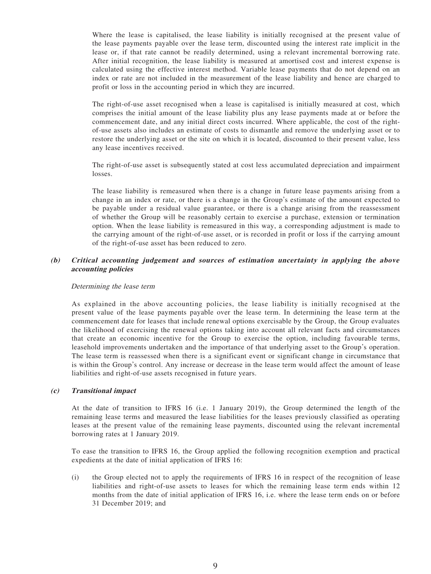Where the lease is capitalised, the lease liability is initially recognised at the present value of the lease payments payable over the lease term, discounted using the interest rate implicit in the lease or, if that rate cannot be readily determined, using a relevant incremental borrowing rate. After initial recognition, the lease liability is measured at amortised cost and interest expense is calculated using the effective interest method. Variable lease payments that do not depend on an index or rate are not included in the measurement of the lease liability and hence are charged to profit or loss in the accounting period in which they are incurred.

The right-of-use asset recognised when a lease is capitalised is initially measured at cost, which comprises the initial amount of the lease liability plus any lease payments made at or before the commencement date, and any initial direct costs incurred. Where applicable, the cost of the rightof-use assets also includes an estimate of costs to dismantle and remove the underlying asset or to restore the underlying asset or the site on which it is located, discounted to their present value, less any lease incentives received.

The right-of-use asset is subsequently stated at cost less accumulated depreciation and impairment losses.

The lease liability is remeasured when there is a change in future lease payments arising from a change in an index or rate, or there is a change in the Group's estimate of the amount expected to be payable under a residual value guarantee, or there is a change arising from the reassessment of whether the Group will be reasonably certain to exercise a purchase, extension or termination option. When the lease liability is remeasured in this way, a corresponding adjustment is made to the carrying amount of the right-of-use asset, or is recorded in profit or loss if the carrying amount of the right-of-use asset has been reduced to zero.

### **(b) Critical accounting judgement and sources of estimation uncertainty in applying the above accounting policies**

#### Determining the lease term

As explained in the above accounting policies, the lease liability is initially recognised at the present value of the lease payments payable over the lease term. In determining the lease term at the commencement date for leases that include renewal options exercisable by the Group, the Group evaluates the likelihood of exercising the renewal options taking into account all relevant facts and circumstances that create an economic incentive for the Group to exercise the option, including favourable terms, leasehold improvements undertaken and the importance of that underlying asset to the Group's operation. The lease term is reassessed when there is a significant event or significant change in circumstance that is within the Group's control. Any increase or decrease in the lease term would affect the amount of lease liabilities and right-of-use assets recognised in future years.

### **(c) Transitional impact**

At the date of transition to IFRS 16 (i.e. 1 January 2019), the Group determined the length of the remaining lease terms and measured the lease liabilities for the leases previously classified as operating leases at the present value of the remaining lease payments, discounted using the relevant incremental borrowing rates at 1 January 2019.

To ease the transition to IFRS 16, the Group applied the following recognition exemption and practical expedients at the date of initial application of IFRS 16:

(i) the Group elected not to apply the requirements of IFRS 16 in respect of the recognition of lease liabilities and right-of-use assets to leases for which the remaining lease term ends within 12 months from the date of initial application of IFRS 16, i.e. where the lease term ends on or before 31 December 2019; and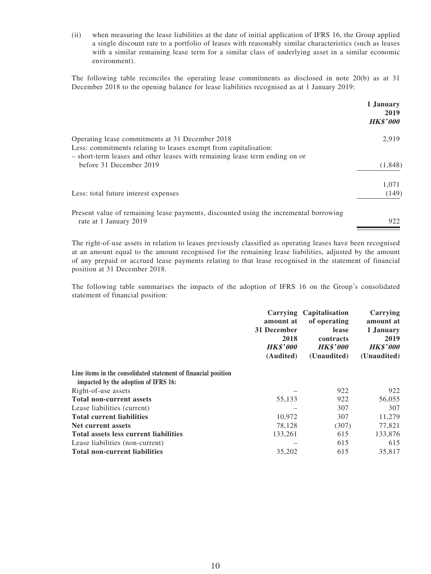(ii) when measuring the lease liabilities at the date of initial application of IFRS 16, the Group applied a single discount rate to a portfolio of leases with reasonably similar characteristics (such as leases with a similar remaining lease term for a similar class of underlying asset in a similar economic environment).

The following table reconciles the operating lease commitments as disclosed in note 20(b) as at 31 December 2018 to the opening balance for lease liabilities recognised as at 1 January 2019:

|                                                                                                                     | 1 January<br>2019<br><b>HK\$'000</b> |
|---------------------------------------------------------------------------------------------------------------------|--------------------------------------|
| Operating lease commitments at 31 December 2018<br>Less: commitments relating to leases exempt from capitalisation: | 2,919                                |
| - short-term leases and other leases with remaining lease term ending on or                                         |                                      |
| before 31 December 2019                                                                                             | (1,848)                              |
|                                                                                                                     | 1,071                                |
| Less: total future interest expenses                                                                                | (149)                                |
| Present value of remaining lease payments, discounted using the incremental borrowing                               |                                      |
| rate at 1 January 2019                                                                                              | 922                                  |

The right-of-use assets in relation to leases previously classified as operating leases have been recognised at an amount equal to the amount recognised for the remaining lease liabilities, adjusted by the amount of any prepaid or accrued lease payments relating to that lease recognised in the statement of financial position at 31 December 2018.

The following table summarises the impacts of the adoption of IFRS 16 on the Group's consolidated statement of financial position:

|                                                                | <b>Carrying</b><br>amount at<br>31 December<br>2018<br><b>HK\$'000</b><br>(Audited) | <b>Capitalisation</b><br>of operating<br>lease<br>contracts<br><b>HK\$'000</b><br>(Unaudited) | Carrying<br>amount at                               |
|----------------------------------------------------------------|-------------------------------------------------------------------------------------|-----------------------------------------------------------------------------------------------|-----------------------------------------------------|
|                                                                |                                                                                     |                                                                                               | 1 January<br>2019<br><b>HK\$'000</b><br>(Unaudited) |
| Line items in the consolidated statement of financial position |                                                                                     |                                                                                               |                                                     |
| impacted by the adoption of IFRS 16:                           |                                                                                     |                                                                                               |                                                     |
| Right-of-use assets                                            |                                                                                     | 922                                                                                           | 922                                                 |
| <b>Total non-current assets</b>                                | 55,133                                                                              | 922                                                                                           | 56,055                                              |
| Lease liabilities (current)                                    |                                                                                     | 307                                                                                           | 307                                                 |
| <b>Total current liabilities</b>                               | 10.972                                                                              | 307                                                                                           | 11,279                                              |
| Net current assets                                             | 78,128                                                                              | (307)                                                                                         | 77,821                                              |
| <b>Total assets less current liabilities</b>                   | 133,261                                                                             | 615                                                                                           | 133,876                                             |
| Lease liabilities (non-current)                                |                                                                                     | 615                                                                                           | 615                                                 |
| <b>Total non-current liabilities</b>                           | 35,202                                                                              | 615                                                                                           | 35,817                                              |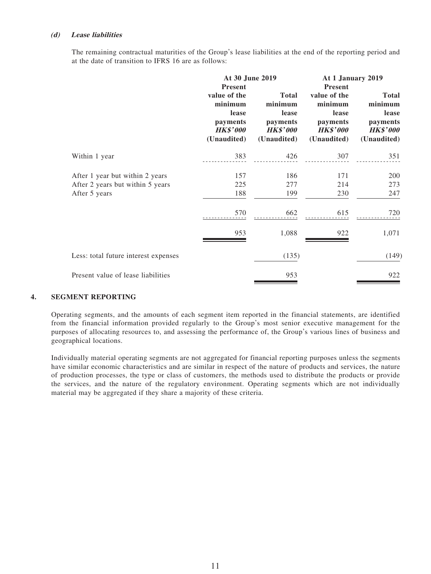#### **(d) Lease liabilities**

The remaining contractual maturities of the Group's lease liabilities at the end of the reporting period and at the date of transition to IFRS 16 are as follows:

|                                                                                      | At 30 June 2019                                                                                  |                                                                                | At 1 January 2019                                                                                |                                                                                |
|--------------------------------------------------------------------------------------|--------------------------------------------------------------------------------------------------|--------------------------------------------------------------------------------|--------------------------------------------------------------------------------------------------|--------------------------------------------------------------------------------|
|                                                                                      | <b>Present</b><br>value of the<br>minimum<br>lease<br>payments<br><b>HK\$'000</b><br>(Unaudited) | <b>Total</b><br>minimum<br>lease<br>payments<br><b>HK\$'000</b><br>(Unaudited) | <b>Present</b><br>value of the<br>minimum<br>lease<br>payments<br><b>HK\$'000</b><br>(Unaudited) | <b>Total</b><br>minimum<br>lease<br>payments<br><b>HK\$'000</b><br>(Unaudited) |
| Within 1 year                                                                        | 383                                                                                              | 426                                                                            | 307                                                                                              | 351                                                                            |
| After 1 year but within 2 years<br>After 2 years but within 5 years<br>After 5 years | 157<br>225<br>188                                                                                | 186<br>277<br>199                                                              | 171<br>214<br>230                                                                                | 200<br>273<br>247                                                              |
|                                                                                      | 570                                                                                              | 662                                                                            | 615                                                                                              | 720                                                                            |
|                                                                                      | 953                                                                                              | 1,088                                                                          | 922                                                                                              | 1,071                                                                          |
| Less: total future interest expenses                                                 |                                                                                                  | (135)                                                                          |                                                                                                  | (149)                                                                          |
| Present value of lease liabilities                                                   |                                                                                                  | 953                                                                            |                                                                                                  | 922                                                                            |

### **4. SEGMENT REPORTING**

Operating segments, and the amounts of each segment item reported in the financial statements, are identified from the financial information provided regularly to the Group's most senior executive management for the purposes of allocating resources to, and assessing the performance of, the Group's various lines of business and geographical locations.

Individually material operating segments are not aggregated for financial reporting purposes unless the segments have similar economic characteristics and are similar in respect of the nature of products and services, the nature of production processes, the type or class of customers, the methods used to distribute the products or provide the services, and the nature of the regulatory environment. Operating segments which are not individually material may be aggregated if they share a majority of these criteria.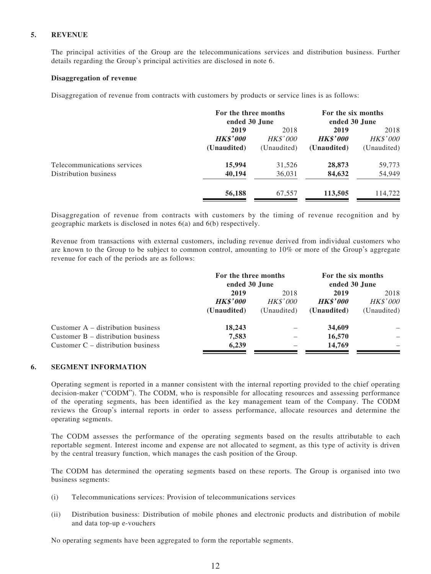### **5. REVENUE**

The principal activities of the Group are the telecommunications services and distribution business. Further details regarding the Group's principal activities are disclosed in note 6.

### **Disaggregation of revenue**

Disaggregation of revenue from contracts with customers by products or service lines is as follows:

|                             | For the three months<br>ended 30 June |                 | For the six months<br>ended 30 June |                 |
|-----------------------------|---------------------------------------|-----------------|-------------------------------------|-----------------|
|                             | 2019<br>2018                          |                 | 2019                                | 2018            |
|                             | <b>HK\$'000</b>                       | <b>HK\$'000</b> | <b>HK\$'000</b>                     | <b>HK\$'000</b> |
|                             | (Unaudited)                           | (Unaudited)     | (Unaudited)                         | (Unaudited)     |
| Telecommunications services | 15,994                                | 31,526          | 28,873                              | 59,773          |
| Distribution business       | 40,194                                | 36,031          | 84,632                              | 54,949          |
|                             | 56,188                                | 67,557          | 113,505                             | 114.722         |

Disaggregation of revenue from contracts with customers by the timing of revenue recognition and by geographic markets is disclosed in notes 6(a) and 6(b) respectively.

Revenue from transactions with external customers, including revenue derived from individual customers who are known to the Group to be subject to common control, amounting to 10% or more of the Group's aggregate revenue for each of the periods are as follows:

|                                      | For the three months<br>ended 30 June |                 | For the six months<br>ended 30 June |                 |
|--------------------------------------|---------------------------------------|-----------------|-------------------------------------|-----------------|
|                                      | 2019<br>2018                          |                 | 2019                                | 2018            |
|                                      | <b>HK\$'000</b>                       | <i>HK\$'000</i> | <b>HK\$'000</b>                     | <b>HK\$'000</b> |
|                                      | (Unaudited)                           | (Unaudited)     | (Unaudited)                         | (Unaudited)     |
| Customer $A -$ distribution business | 18,243                                |                 | 34,609                              |                 |
| Customer $B -$ distribution business | 7,583                                 |                 | 16,570                              |                 |
| Customer $C -$ distribution business | 6,239                                 |                 | 14,769                              |                 |

### **6. SEGMENT INFORMATION**

Operating segment is reported in a manner consistent with the internal reporting provided to the chief operating decision-maker ("CODM"). The CODM, who is responsible for allocating resources and assessing performance of the operating segments, has been identified as the key management team of the Company. The CODM reviews the Group's internal reports in order to assess performance, allocate resources and determine the operating segments.

The CODM assesses the performance of the operating segments based on the results attributable to each reportable segment. Interest income and expense are not allocated to segment, as this type of activity is driven by the central treasury function, which manages the cash position of the Group.

The CODM has determined the operating segments based on these reports. The Group is organised into two business segments:

- (i) Telecommunications services: Provision of telecommunications services
- (ii) Distribution business: Distribution of mobile phones and electronic products and distribution of mobile and data top-up e-vouchers

No operating segments have been aggregated to form the reportable segments.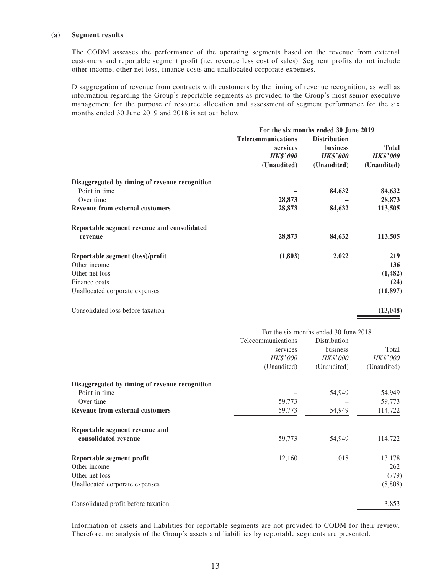#### **(a) Segment results**

The CODM assesses the performance of the operating segments based on the revenue from external customers and reportable segment profit (i.e. revenue less cost of sales). Segment profits do not include other income, other net loss, finance costs and unallocated corporate expenses.

Disaggregation of revenue from contracts with customers by the timing of revenue recognition, as well as information regarding the Group's reportable segments as provided to the Group's most senior executive management for the purpose of resource allocation and assessment of segment performance for the six months ended 30 June 2019 and 2018 is set out below.

|                                                | For the six months ended 30 June 2019 |                     |                 |  |
|------------------------------------------------|---------------------------------------|---------------------|-----------------|--|
|                                                | <b>Telecommunications</b>             | <b>Distribution</b> |                 |  |
|                                                | services                              | <b>business</b>     | <b>Total</b>    |  |
|                                                | <b>HK\$'000</b>                       | <b>HK\$'000</b>     | <b>HK\$'000</b> |  |
|                                                | (Unaudited)                           | (Unaudited)         | (Unaudited)     |  |
| Disaggregated by timing of revenue recognition |                                       |                     |                 |  |
| Point in time                                  |                                       | 84,632              | 84,632          |  |
| Over time                                      | 28,873                                |                     | 28,873          |  |
| <b>Revenue from external customers</b>         | 28,873                                | 84,632              | 113,505         |  |
| Reportable segment revenue and consolidated    |                                       |                     |                 |  |
| revenue                                        | 28,873                                | 84,632              | 113,505         |  |
| Reportable segment (loss)/profit               | (1,803)                               | 2,022               | 219             |  |
| Other income                                   |                                       |                     | 136             |  |
| Other net loss                                 |                                       |                     | (1, 482)        |  |
| Finance costs                                  |                                       |                     | (24)            |  |
| Unallocated corporate expenses                 |                                       |                     | (11, 897)       |  |
| Consolidated loss before taxation              |                                       |                     | (13, 048)       |  |

|                                                                                               | For the six months ended 30 June 2018                            |                                                     |                                   |
|-----------------------------------------------------------------------------------------------|------------------------------------------------------------------|-----------------------------------------------------|-----------------------------------|
|                                                                                               | Telecommunications<br>services<br><b>HK\$'000</b><br>(Unaudited) | Distribution<br>business<br>HK\$'000<br>(Unaudited) | Total<br>HK\$'000<br>(Unaudited)  |
| Disaggregated by timing of revenue recognition                                                |                                                                  |                                                     |                                   |
| Point in time                                                                                 |                                                                  | 54,949                                              | 54,949                            |
| Over time                                                                                     | 59,773                                                           |                                                     | 59,773                            |
| <b>Revenue from external customers</b>                                                        | 59,773                                                           | 54,949                                              | 114,722                           |
| Reportable segment revenue and                                                                |                                                                  |                                                     |                                   |
| consolidated revenue                                                                          | 59,773                                                           | 54,949                                              | 114,722                           |
| Reportable segment profit<br>Other income<br>Other net loss<br>Unallocated corporate expenses | 12,160                                                           | 1,018                                               | 13,178<br>262<br>(779)<br>(8,808) |
| Consolidated profit before taxation                                                           |                                                                  |                                                     | 3,853                             |

Information of assets and liabilities for reportable segments are not provided to CODM for their review. Therefore, no analysis of the Group's assets and liabilities by reportable segments are presented.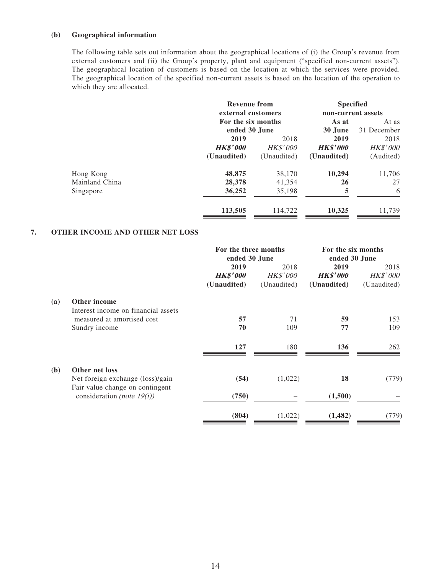### **(b) Geographical information**

The following table sets out information about the geographical locations of (i) the Group's revenue from external customers and (ii) the Group's property, plant and equipment ("specified non-current assets"). The geographical location of customers is based on the location at which the services were provided. The geographical location of the specified non-current assets is based on the location of the operation to which they are allocated.

|                | <b>Revenue from</b> |                 | <b>Specified</b>   |                 |
|----------------|---------------------|-----------------|--------------------|-----------------|
|                | external customers  |                 | non-current assets |                 |
|                | For the six months  |                 | As at              | At as           |
|                | ended 30 June       |                 | 30 June            | 31 December     |
|                | 2019                | 2018            | 2019               | 2018            |
|                | <b>HK\$'000</b>     | <b>HK\$'000</b> | <b>HK\$'000</b>    | <b>HK\$'000</b> |
|                | (Unaudited)         | (Unaudited)     | (Unaudited)        | (Audited)       |
| Hong Kong      | 48,875              | 38,170          | 10,294             | 11,706          |
| Mainland China | 28,378              | 41,354          | 26                 | 27              |
| Singapore      | 36,252              | 35,198          | 5                  | 6               |
|                | 113,505             | 114.722         | 10,325             | 11.739          |
|                |                     |                 |                    |                 |

### **7. OTHER INCOME AND OTHER NET LOSS**

|     |                                     | For the three months |                 | For the six months<br>ended 30 June<br>ended 30 June |                 |  |
|-----|-------------------------------------|----------------------|-----------------|------------------------------------------------------|-----------------|--|
|     |                                     | 2019                 | 2018            | 2019                                                 | 2018            |  |
|     |                                     | <b>HK\$'000</b>      | <b>HK\$'000</b> | <b>HK\$'000</b>                                      | <b>HK\$'000</b> |  |
|     |                                     | (Unaudited)          | (Unaudited)     | (Unaudited)                                          | (Unaudited)     |  |
| (a) | Other income                        |                      |                 |                                                      |                 |  |
|     | Interest income on financial assets |                      |                 |                                                      |                 |  |
|     | measured at amortised cost          | 57                   | 71              | 59                                                   | 153             |  |
|     | Sundry income                       | 70                   | 109             | 77                                                   | 109             |  |
|     |                                     | 127                  | 180             | 136                                                  | 262             |  |
| (b) | Other net loss                      |                      |                 |                                                      |                 |  |
|     | Net foreign exchange (loss)/gain    | (54)                 | (1,022)         | 18                                                   | (779)           |  |
|     | Fair value change on contingent     |                      |                 |                                                      |                 |  |
|     | consideration (note $19(i)$ )       | (750)                |                 | (1,500)                                              |                 |  |
|     |                                     | (804)                | (1,022)         | (1, 482)                                             | (779)           |  |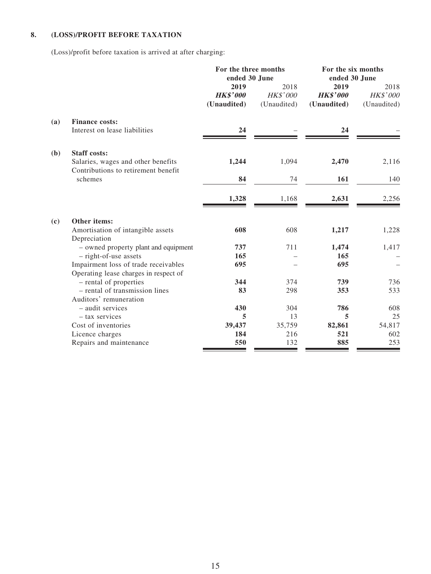# **8. (LOSS)/PROFIT BEFORE TAXATION**

(Loss)/profit before taxation is arrived at after charging:

|     |                                                                           | For the three months           |                         | For the six months<br>ended 30 June<br>ended 30 June |                         |  |
|-----|---------------------------------------------------------------------------|--------------------------------|-------------------------|------------------------------------------------------|-------------------------|--|
|     |                                                                           | 2019                           | 2018                    | 2019                                                 | 2018                    |  |
|     |                                                                           | <b>HK\$'000</b><br>(Unaudited) | HK\$'000<br>(Unaudited) | <b>HK\$'000</b><br>(Unaudited)                       | HK\$'000<br>(Unaudited) |  |
| (a) | <b>Finance costs:</b>                                                     |                                |                         |                                                      |                         |  |
|     | Interest on lease liabilities                                             | 24                             |                         | 24                                                   |                         |  |
| (b) | <b>Staff costs:</b>                                                       |                                |                         |                                                      |                         |  |
|     | Salaries, wages and other benefits<br>Contributions to retirement benefit | 1,244                          | 1,094                   | 2,470                                                | 2,116                   |  |
|     | schemes                                                                   | 84                             | 74                      | 161                                                  | 140                     |  |
|     |                                                                           | 1,328                          | 1,168                   | 2,631                                                | 2,256                   |  |
| (c) | Other items:                                                              |                                |                         |                                                      |                         |  |
|     | Amortisation of intangible assets<br>Depreciation                         | 608                            | 608                     | 1,217                                                | 1,228                   |  |
|     | - owned property plant and equipment                                      | 737                            | 711                     | 1,474                                                | 1,417                   |  |
|     | - right-of-use assets                                                     | 165                            |                         | 165                                                  |                         |  |
|     | Impairment loss of trade receivables                                      | 695                            |                         | 695                                                  |                         |  |
|     | Operating lease charges in respect of                                     |                                |                         |                                                      |                         |  |
|     | - rental of properties                                                    | 344                            | 374                     | 739                                                  | 736                     |  |
|     | - rental of transmission lines                                            | 83                             | 298                     | 353                                                  | 533                     |  |
|     | Auditors' remuneration                                                    |                                |                         |                                                      |                         |  |
|     | - audit services                                                          | 430                            | 304                     | 786                                                  | 608                     |  |
|     | - tax services                                                            | 5                              | 13                      | 5                                                    | 25                      |  |
|     | Cost of inventories                                                       | 39,437                         | 35,759                  | 82,861                                               | 54,817                  |  |
|     | Licence charges                                                           | 184                            | 216                     | 521                                                  | 602                     |  |
|     | Repairs and maintenance                                                   | 550                            | 132                     | 885                                                  | 253                     |  |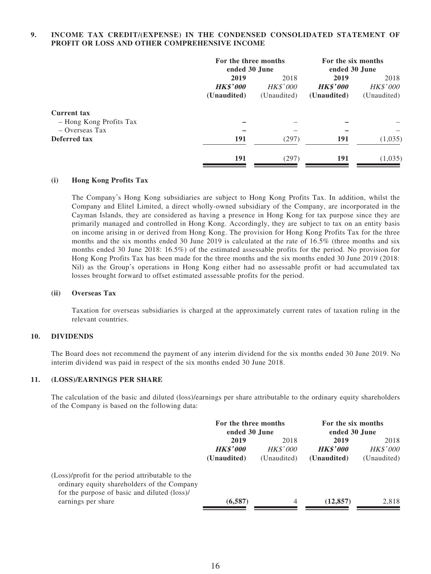#### **9. INCOME TAX CREDIT/(EXPENSE) IN THE CONDENSED CONSOLIDATED STATEMENT OF PROFIT OR LOSS AND OTHER COMPREHENSIVE INCOME**

|                                                                   |                                        | For the three months<br>ended 30 June  |                                        | For the six months<br>ended 30 June    |
|-------------------------------------------------------------------|----------------------------------------|----------------------------------------|----------------------------------------|----------------------------------------|
|                                                                   | 2019<br><b>HK\$'000</b><br>(Unaudited) | 2018<br><i>HK\$'000</i><br>(Unaudited) | 2019<br><b>HK\$'000</b><br>(Unaudited) | 2018<br><i>HK\$'000</i><br>(Unaudited) |
| <b>Current tax</b><br>- Hong Kong Profits Tax<br>$-$ Overseas Tax |                                        |                                        |                                        |                                        |
| Deferred tax                                                      | 191                                    | (297)                                  | 191                                    | (1,035)                                |
|                                                                   | 191                                    | (297)                                  | 191                                    | (1,035)                                |

#### **(i) Hong Kong Profits Tax**

The Company's Hong Kong subsidiaries are subject to Hong Kong Profits Tax. In addition, whilst the Company and Elitel Limited, a direct wholly-owned subsidiary of the Company, are incorporated in the Cayman Islands, they are considered as having a presence in Hong Kong for tax purpose since they are primarily managed and controlled in Hong Kong. Accordingly, they are subject to tax on an entity basis on income arising in or derived from Hong Kong. The provision for Hong Kong Profits Tax for the three months and the six months ended 30 June 2019 is calculated at the rate of 16.5% (three months and six months ended 30 June 2018: 16.5%) of the estimated assessable profits for the period. No provision for Hong Kong Profits Tax has been made for the three months and the six months ended 30 June 2019 (2018: Nil) as the Group's operations in Hong Kong either had no assessable profit or had accumulated tax losses brought forward to offset estimated assessable profits for the period.

#### **(ii) Overseas Tax**

Taxation for overseas subsidiaries is charged at the approximately current rates of taxation ruling in the relevant countries.

#### **10. DIVIDENDS**

The Board does not recommend the payment of any interim dividend for the six months ended 30 June 2019. No interim dividend was paid in respect of the six months ended 30 June 2018.

#### **11. (LOSS)/EARNINGS PER SHARE**

The calculation of the basic and diluted (loss)/earnings per share attributable to the ordinary equity shareholders of the Company is based on the following data:

|                                                                                                                                                                       | For the three months<br>ended 30 June  |                                        | For the six months<br>ended 30 June    |                                        |  |
|-----------------------------------------------------------------------------------------------------------------------------------------------------------------------|----------------------------------------|----------------------------------------|----------------------------------------|----------------------------------------|--|
|                                                                                                                                                                       | 2019<br><b>HK\$'000</b><br>(Unaudited) | 2018<br><b>HK\$'000</b><br>(Unaudited) | 2019<br><b>HK\$'000</b><br>(Unaudited) | 2018<br><b>HK\$'000</b><br>(Unaudited) |  |
| (Loss)/profit for the period attributable to the<br>ordinary equity shareholders of the Company<br>for the purpose of basic and diluted (loss)/<br>earnings per share | (6,587)                                | 4                                      | (12, 857)                              | 2,818                                  |  |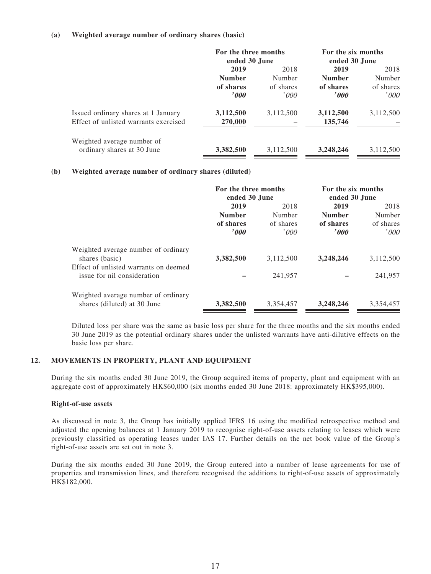#### **(a) Weighted average number of ordinary shares (basic)**

|                                       | For the three months<br>ended 30 June                         |           | For the six months<br>ended 30 June                           |           |
|---------------------------------------|---------------------------------------------------------------|-----------|---------------------------------------------------------------|-----------|
|                                       | 2019                                                          | 2018      | 2019                                                          | 2018      |
|                                       | <b>Number</b>                                                 | Number    | <b>Number</b>                                                 | Number    |
|                                       | of shares                                                     | of shares | of shares                                                     | of shares |
|                                       | $\boldsymbol{\rho}{\boldsymbol{\theta}}{\boldsymbol{\theta}}$ | '000      | $\boldsymbol{\rho}{\boldsymbol{\theta}}{\boldsymbol{\theta}}$ | '000'     |
| Issued ordinary shares at 1 January   | 3,112,500                                                     | 3,112,500 | 3,112,500                                                     | 3,112,500 |
| Effect of unlisted warrants exercised | 270,000                                                       |           | 135,746                                                       |           |
| Weighted average number of            |                                                               |           |                                                               |           |
| ordinary shares at 30 June            | 3,382,500                                                     | 3,112,500 | 3,248,246                                                     | 3,112,500 |

### **(b) Weighted average number of ordinary shares (diluted)**

|                                       | For the three months |           | For the six months |           |
|---------------------------------------|----------------------|-----------|--------------------|-----------|
|                                       | ended 30 June        |           | ended 30 June      |           |
|                                       | 2019                 | 2018      | 2019               | 2018      |
|                                       | <b>Number</b>        | Number    | <b>Number</b>      | Number    |
|                                       | of shares            | of shares | of shares          | of shares |
|                                       | $^{\prime}000$       | '000'     | $^{\prime}000$     | '000'     |
| Weighted average number of ordinary   |                      |           |                    |           |
| shares (basic)                        | 3,382,500            | 3,112,500 | 3,248,246          | 3,112,500 |
| Effect of unlisted warrants on deemed |                      |           |                    |           |
| issue for nil consideration           |                      | 241,957   |                    | 241,957   |
| Weighted average number of ordinary   |                      |           |                    |           |
| shares (diluted) at 30 June           | 3,382,500            | 3,354,457 | 3,248,246          | 3,354,457 |

Diluted loss per share was the same as basic loss per share for the three months and the six months ended 30 June 2019 as the potential ordinary shares under the unlisted warrants have anti-dilutive effects on the basic loss per share.

#### **12. MOVEMENTS IN PROPERTY, PLANT AND EQUIPMENT**

During the six months ended 30 June 2019, the Group acquired items of property, plant and equipment with an aggregate cost of approximately HK\$60,000 (six months ended 30 June 2018: approximately HK\$395,000).

#### **Right-of-use assets**

As discussed in note 3, the Group has initially applied IFRS 16 using the modified retrospective method and adjusted the opening balances at 1 January 2019 to recognise right-of-use assets relating to leases which were previously classified as operating leases under IAS 17. Further details on the net book value of the Group's right-of-use assets are set out in note 3.

During the six months ended 30 June 2019, the Group entered into a number of lease agreements for use of properties and transmission lines, and therefore recognised the additions to right-of-use assets of approximately HK\$182,000.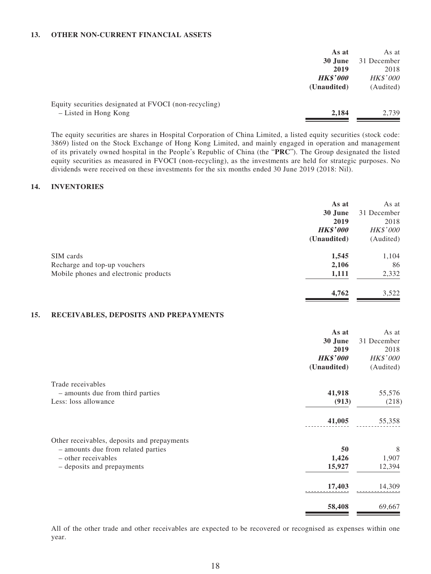### **13. OTHER NON-CURRENT FINANCIAL ASSETS**

|                                                       | As at           | As at           |
|-------------------------------------------------------|-----------------|-----------------|
|                                                       | 30 June         | 31 December     |
|                                                       | 2019            | 2018            |
|                                                       | <b>HK\$'000</b> | <b>HK\$'000</b> |
|                                                       | (Unaudited)     | (Audited)       |
| Equity securities designated at FVOCI (non-recycling) |                 |                 |
| - Listed in Hong Kong                                 | 2.184           | 2,739           |
|                                                       |                 |                 |

The equity securities are shares in Hospital Corporation of China Limited, a listed equity securities (stock code: 3869) listed on the Stock Exchange of Hong Kong Limited, and mainly engaged in operation and management of its privately owned hospital in the People's Republic of China (the "**PRC**"). The Group designated the listed equity securities as measured in FVOCI (non-recycling), as the investments are held for strategic purposes. No dividends were received on these investments for the six months ended 30 June 2019 (2018: Nil).

### **14. INVENTORIES**

|     |                                                                                   | As at<br>30 June<br>2019<br><b>HK\$'000</b><br>(Unaudited) | As at<br>31 December<br>2018<br>HK\$'000<br>(Audited) |
|-----|-----------------------------------------------------------------------------------|------------------------------------------------------------|-------------------------------------------------------|
|     | SIM cards                                                                         | 1,545                                                      | 1,104                                                 |
|     | Recharge and top-up vouchers<br>Mobile phones and electronic products             | 2,106<br>1,111                                             | 86<br>2,332                                           |
|     |                                                                                   | 4,762                                                      | 3,522                                                 |
| 15. | RECEIVABLES, DEPOSITS AND PREPAYMENTS                                             |                                                            |                                                       |
|     |                                                                                   | As at<br>30 June<br>2019<br><b>HK\$'000</b><br>(Unaudited) | As at<br>31 December<br>2018<br>HK\$'000<br>(Audited) |
|     | Trade receivables                                                                 | 41,918                                                     |                                                       |
|     | - amounts due from third parties<br>Less: loss allowance                          | (913)                                                      | 55,576<br>(218)                                       |
|     |                                                                                   | 41,005                                                     | 55,358                                                |
|     | Other receivables, deposits and prepayments<br>- amounts due from related parties | 50                                                         | 8                                                     |
|     | - other receivables<br>- deposits and prepayments                                 | 1,426<br>15,927                                            | 1,907<br>12,394                                       |
|     |                                                                                   | 17,403                                                     | 14,309                                                |
|     |                                                                                   | 58,408                                                     | 69,667                                                |

All of the other trade and other receivables are expected to be recovered or recognised as expenses within one year.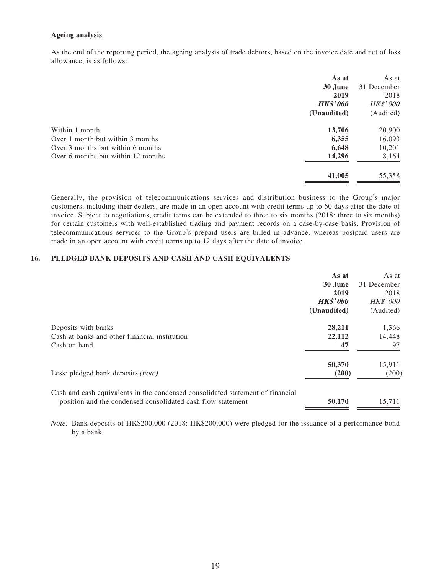### **Ageing analysis**

As the end of the reporting period, the ageing analysis of trade debtors, based on the invoice date and net of loss allowance, is as follows:

| As at           | As at           |
|-----------------|-----------------|
| 30 June         | 31 December     |
| 2019            | 2018            |
| <b>HK\$'000</b> | <b>HK\$'000</b> |
| (Unaudited)     | (Audited)       |
| 13,706          | 20,900          |
| 6,355           | 16,093          |
| 6,648           | 10,201          |
| 14,296          | 8,164           |
| 41,005          | 55,358          |
|                 |                 |

Generally, the provision of telecommunications services and distribution business to the Group's major customers, including their dealers, are made in an open account with credit terms up to 60 days after the date of invoice. Subject to negotiations, credit terms can be extended to three to six months (2018: three to six months) for certain customers with well-established trading and payment records on a case-by-case basis. Provision of telecommunications services to the Group's prepaid users are billed in advance, whereas postpaid users are made in an open account with credit terms up to 12 days after the date of invoice.

### **16. PLEDGED BANK DEPOSITS AND CASH AND CASH EQUIVALENTS**

|                                                                                | As at           | As at           |
|--------------------------------------------------------------------------------|-----------------|-----------------|
|                                                                                | 30 June         | 31 December     |
|                                                                                | 2019            | 2018            |
|                                                                                | <b>HK\$'000</b> | <b>HK\$'000</b> |
|                                                                                | (Unaudited)     | (Audited)       |
| Deposits with banks                                                            | 28,211          | 1,366           |
| Cash at banks and other financial institution                                  | 22,112          | 14.448          |
| Cash on hand                                                                   | 47              | 97              |
|                                                                                | 50,370          | 15,911          |
| Less: pledged bank deposits <i>(note)</i>                                      | (200)           | (200)           |
| Cash and cash equivalents in the condensed consolidated statement of financial |                 |                 |
| position and the condensed consolidated cash flow statement                    | 50,170          | 15,711          |

Note: Bank deposits of HK\$200,000 (2018: HK\$200,000) were pledged for the issuance of a performance bond by a bank.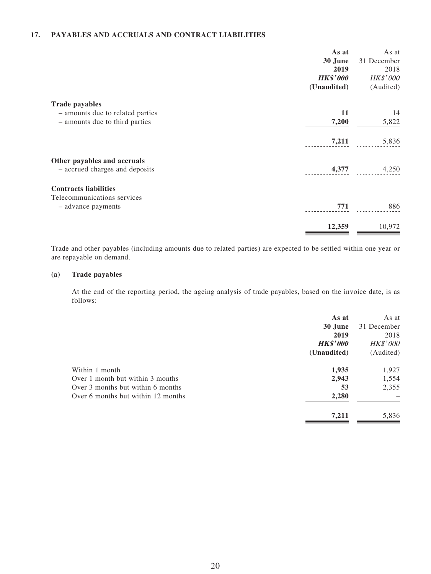### **17. PAYABLES AND ACCRUALS AND CONTRACT LIABILITIES**

|                                                                    | As at<br>30 June<br>2019<br><b>HK\$'000</b><br>(Unaudited) | As at<br>31 December<br>2018<br>HK\$'000<br>(Audited) |
|--------------------------------------------------------------------|------------------------------------------------------------|-------------------------------------------------------|
| <b>Trade payables</b>                                              |                                                            |                                                       |
| - amounts due to related parties<br>- amounts due to third parties | 11<br>7,200                                                | 14<br>5,822                                           |
|                                                                    | 7,211                                                      | 5,836                                                 |
| Other payables and accruals<br>- accrued charges and deposits      | 4,377                                                      | 4,250                                                 |
| <b>Contracts liabilities</b>                                       |                                                            |                                                       |
| Telecommunications services<br>- advance payments                  | 771                                                        | 886                                                   |
|                                                                    | 12,359                                                     | 10,972                                                |

Trade and other payables (including amounts due to related parties) are expected to be settled within one year or are repayable on demand.

### **(a) Trade payables**

At the end of the reporting period, the ageing analysis of trade payables, based on the invoice date, is as follows:

|                                    | As at           | As at       |
|------------------------------------|-----------------|-------------|
|                                    | 30 June         | 31 December |
|                                    | 2019            | 2018        |
|                                    | <b>HK\$'000</b> | HK\$'000    |
|                                    | (Unaudited)     | (Audited)   |
| Within 1 month                     | 1,935           | 1,927       |
| Over 1 month but within 3 months   | 2,943           | 1,554       |
| Over 3 months but within 6 months  | 53              | 2,355       |
| Over 6 months but within 12 months | 2,280           |             |
|                                    | 7,211           | 5,836       |
|                                    |                 |             |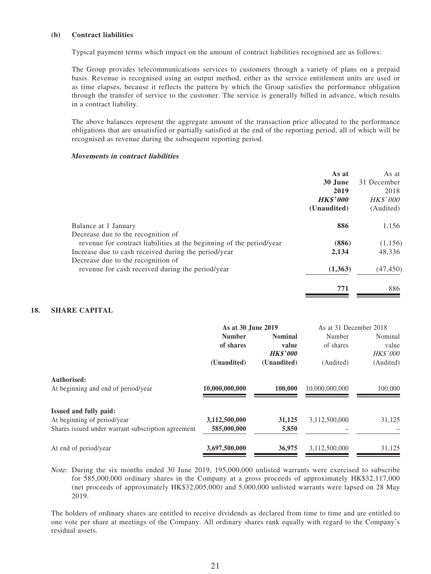#### **(b) Contract liabilities**

Typical payment terms which impact on the amount of contract liabilities recognised are as follows:

The Group provides telecommunications services to customers through a variety of plans on a prepaid basis. Revenue is recognised using an output method, either as the service entitlement units are used or as time elapses, because it reflects the pattern by which the Group satisfies the performance obligation through the transfer of service to the customer. The service is generally billed in advance, which results in a contract liability.

The above balances represent the aggregate amount of the transaction price allocated to the performance obligations that are unsatisfied or partially satisfied at the end of the reporting period, all of which will be recognised as revenue during the subsequent reporting period.

#### **Movements in contract liabilities**

|                                                                      | As at           | As at           |
|----------------------------------------------------------------------|-----------------|-----------------|
|                                                                      | 30 June         | 31 December     |
|                                                                      | 2019            | 2018            |
|                                                                      | <b>HK\$'000</b> | <i>HK\$'000</i> |
|                                                                      | (Unaudited)     | (Audited)       |
| Balance at 1 January                                                 | 886             | 1,156           |
| Decrease due to the recognition of                                   |                 |                 |
| revenue for contract liabilities at the beginning of the period/year | (886)           | (1,156)         |
| Increase due to cash received during the period/year                 | 2,134           | 48,336          |
| Decrease due to the recognition of                                   |                 |                 |
| revenue for cash received during the period/year                     | (1,363)         | (47, 450)       |
|                                                                      | 771             | 886             |

### **18. SHARE CAPITAL**

|                                                    | As at 30 June 2019 |                 | As at 31 December 2018 |           |
|----------------------------------------------------|--------------------|-----------------|------------------------|-----------|
|                                                    | <b>Number</b>      | <b>Nominal</b>  | Number                 | Nominal   |
|                                                    | of shares          | value           | of shares              | value     |
|                                                    |                    | <b>HK\$'000</b> |                        | HK\$'000  |
|                                                    | (Unaudited)        | (Unaudited)     | (Audited)              | (Audited) |
| Authorised:                                        |                    |                 |                        |           |
| At beginning and end of period/year                | 10,000,000,000     | 100,000         | 10.000.000.000         | 100,000   |
| <b>Issued and fully paid:</b>                      |                    |                 |                        |           |
| At beginning of period/year                        | 3,112,500,000      | 31,125          | 3,112,500,000          | 31,125    |
| Shares issued under warrant subscription agreement | 585,000,000        | 5,850           |                        |           |
| At end of period/year                              | 3,697,500,000      | 36,975          | 3,112,500,000          | 31,125    |

Note: During the six months ended 30 June 2019, 195,000,000 unlisted warrants were exercised to subscribe for 585,000,000 ordinary shares in the Company at a gross proceeds of approximately HK\$32,117,000 (net proceeds of approximately HK\$32,005,000) and 5,000,000 unlisted warrants were lapsed on 28 May 2019.

The holders of ordinary shares are entitled to receive dividends as declared from time to time and are entitled to one vote per share at meetings of the Company. All ordinary shares rank equally with regard to the Company's residual assets.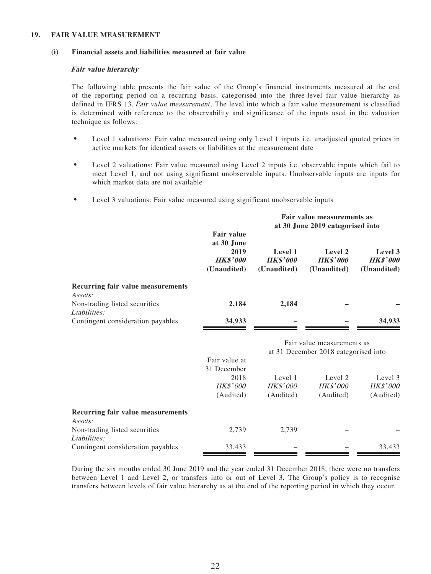#### **19. FAIR VALUE MEASUREMENT**

#### **(i) Financial assets and liabilities measured at fair value**

#### **Fair value hierarchy**

The following table presents the fair value of the Group's financial instruments measured at the end of the reporting period on a recurring basis, categorised into the three-level fair value hierarchy as defined in IFRS 13, Fair value measurement. The level into which a fair value measurement is classified is determined with reference to the observability and significance of the inputs used in the valuation technique as follows:

- Level 1 valuations: Fair value measured using only Level 1 inputs i.e. unadjusted quoted prices in active markets for identical assets or liabilities at the measurement date
- Level 2 valuations: Fair value measured using Level 2 inputs i.e. observable inputs which fail to meet Level 1, and not using significant unobservable inputs. Unobservable inputs are inputs for which market data are not available
- Level 3 valuations: Fair value measured using significant unobservable inputs

|                                               |                                                                           | Fair value measurements as<br>at 30 June 2019 categorised into |                                                                    |                                           |
|-----------------------------------------------|---------------------------------------------------------------------------|----------------------------------------------------------------|--------------------------------------------------------------------|-------------------------------------------|
|                                               | <b>Fair value</b><br>at 30 June<br>2019<br><b>HK\$'000</b><br>(Unaudited) | Level 1<br><b>HK\$'000</b><br>(Unaudited)                      | Level 2<br><b>HK\$'000</b><br>(Unaudited)                          | Level 3<br><b>HK\$'000</b><br>(Unaudited) |
| Recurring fair value measurements<br>Assets:  |                                                                           |                                                                |                                                                    |                                           |
| Non-trading listed securities<br>Liabilities: | 2,184                                                                     | 2,184                                                          |                                                                    |                                           |
| Contingent consideration payables             | 34,933                                                                    |                                                                |                                                                    | 34,933                                    |
|                                               |                                                                           |                                                                | Fair value measurements as<br>at 31 December 2018 categorised into |                                           |
|                                               | Fair value at<br>31 December<br>2018<br><b>HK\$'000</b><br>(Audited)      | Level 1<br><b>HK\$'000</b><br>(Audited)                        | Level 2<br>HK\$'000<br>(Audited)                                   | Level 3<br><b>HK\$'000</b><br>(Audited)   |
| Recurring fair value measurements<br>Assets:  |                                                                           |                                                                |                                                                    |                                           |
| Non-trading listed securities<br>Liabilities: | 2,739                                                                     | 2,739                                                          |                                                                    |                                           |
| Contingent consideration payables             | 33,433                                                                    |                                                                |                                                                    | 33,433                                    |

During the six months ended 30 June 2019 and the year ended 31 December 2018, there were no transfers between Level 1 and Level 2, or transfers into or out of Level 3. The Group's policy is to recognise transfers between levels of fair value hierarchy as at the end of the reporting period in which they occur.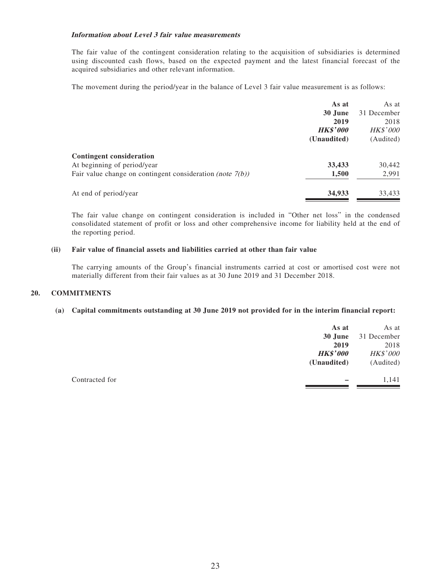### **Information about Level 3 fair value measurements**

The fair value of the contingent consideration relating to the acquisition of subsidiaries is determined using discounted cash flows, based on the expected payment and the latest financial forecast of the acquired subsidiaries and other relevant information.

The movement during the period/year in the balance of Level 3 fair value measurement is as follows:

| As at           | As at       |
|-----------------|-------------|
| 30 June         | 31 December |
| 2019            | 2018        |
| <b>HK\$'000</b> | HK\$'000    |
| (Unaudited)     | (Audited)   |
|                 |             |
| 33,433          | 30,442      |
| 1,500           | 2,991       |
| 34,933          | 33,433      |
|                 |             |

The fair value change on contingent consideration is included in "Other net loss" in the condensed consolidated statement of profit or loss and other comprehensive income for liability held at the end of the reporting period.

### **(ii) Fair value of financial assets and liabilities carried at other than fair value**

The carrying amounts of the Group's financial instruments carried at cost or amortised cost were not materially different from their fair values as at 30 June 2019 and 31 December 2018.

#### **20. COMMITMENTS**

#### **(a) Capital commitments outstanding at 30 June 2019 not provided for in the interim financial report:**

|                | As at           | As at       |
|----------------|-----------------|-------------|
|                | 30 June         | 31 December |
|                | 2019            | 2018        |
|                | <b>HK\$'000</b> | HK\$'000    |
|                | (Unaudited)     | (Audited)   |
| Contracted for |                 | 1,141       |
|                |                 |             |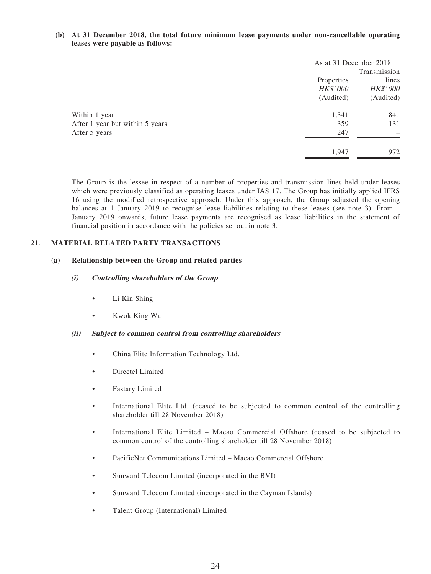#### **(b) At 31 December 2018, the total future minimum lease payments under non-cancellable operating leases were payable as follows:**

|                                 | As at 31 December 2018<br>Transmission     |                                       |
|---------------------------------|--------------------------------------------|---------------------------------------|
|                                 | Properties<br><b>HK\$'000</b><br>(Audited) | lines<br><b>HK\$'000</b><br>(Audited) |
| Within 1 year                   | 1,341                                      | 841                                   |
| After 1 year but within 5 years | 359                                        | 131                                   |
| After 5 years                   | 247                                        |                                       |
|                                 | 1,947                                      | 972                                   |

The Group is the lessee in respect of a number of properties and transmission lines held under leases which were previously classified as operating leases under IAS 17. The Group has initially applied IFRS 16 using the modified retrospective approach. Under this approach, the Group adjusted the opening balances at 1 January 2019 to recognise lease liabilities relating to these leases (see note 3). From 1 January 2019 onwards, future lease payments are recognised as lease liabilities in the statement of financial position in accordance with the policies set out in note 3.

### **21. MATERIAL RELATED PARTY TRANSACTIONS**

### **(a) Relationship between the Group and related parties**

### **(i) Controlling shareholders of the Group**

- Li Kin Shing
- Kwok King Wa

### **(ii) Subject to common control from controlling shareholders**

- China Elite Information Technology Ltd.
- Directel Limited
- Fastary Limited
- International Elite Ltd. (ceased to be subjected to common control of the controlling shareholder till 28 November 2018)
- International Elite Limited Macao Commercial Offshore (ceased to be subjected to common control of the controlling shareholder till 28 November 2018)
- PacificNet Communications Limited Macao Commercial Offshore
- Sunward Telecom Limited (incorporated in the BVI)
- Sunward Telecom Limited (incorporated in the Cayman Islands)
- Talent Group (International) Limited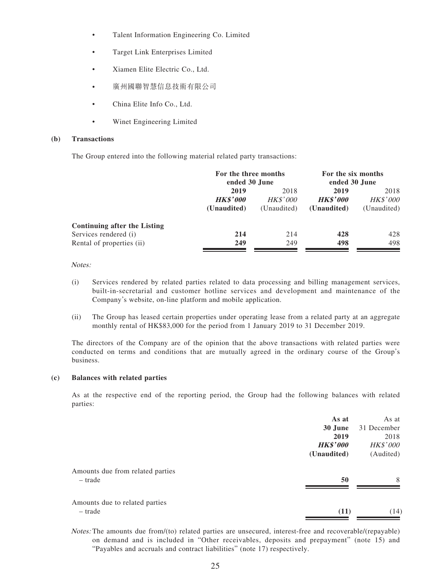- Talent Information Engineering Co. Limited
- Target Link Enterprises Limited
- Xiamen Elite Electric Co., Ltd.
- 廣州國聯智慧信息技術有限公司
- China Elite Info Co., Ltd.
- Winet Engineering Limited

#### **(b) Transactions**

The Group entered into the following material related party transactions:

|                                     | For the three months<br>ended 30 June |                 | For the six months<br>ended 30 June |                 |
|-------------------------------------|---------------------------------------|-----------------|-------------------------------------|-----------------|
|                                     | 2019<br>2018                          |                 | 2019                                | 2018            |
|                                     | <b>HK\$'000</b>                       | <b>HK\$'000</b> | <b>HK\$'000</b>                     | <i>HK\$'000</i> |
|                                     | (Unaudited)                           | (Unaudited)     | (Unaudited)                         | (Unaudited)     |
| <b>Continuing after the Listing</b> |                                       |                 |                                     |                 |
| Services rendered (i)               | 214                                   | 214             | 428                                 | 428             |
| Rental of properties (ii)           | 249                                   | 249             | 498                                 | 498             |
|                                     |                                       |                 |                                     |                 |

Notes:

- (i) Services rendered by related parties related to data processing and billing management services, built-in-secretarial and customer hotline services and development and maintenance of the Company's website, on-line platform and mobile application.
- (ii) The Group has leased certain properties under operating lease from a related party at an aggregate monthly rental of HK\$83,000 for the period from 1 January 2019 to 31 December 2019.

The directors of the Company are of the opinion that the above transactions with related parties were conducted on terms and conditions that are mutually agreed in the ordinary course of the Group's business.

### **(c) Balances with related parties**

As at the respective end of the reporting period, the Group had the following balances with related parties:

|                                             | As at           | As at           |
|---------------------------------------------|-----------------|-----------------|
|                                             | 30 June         | 31 December     |
|                                             | 2019            | 2018            |
|                                             | <b>HK\$'000</b> | <b>HK\$'000</b> |
|                                             | (Unaudited)     | (Audited)       |
| Amounts due from related parties<br>- trade | 50              | 8               |
| Amounts due to related parties<br>- trade   | (11)            | (14)            |

Notes: The amounts due from/(to) related parties are unsecured, interest-free and recoverable/(repayable) on demand and is included in "Other receivables, deposits and prepayment" (note 15) and "Payables and accruals and contract liabilities" (note 17) respectively.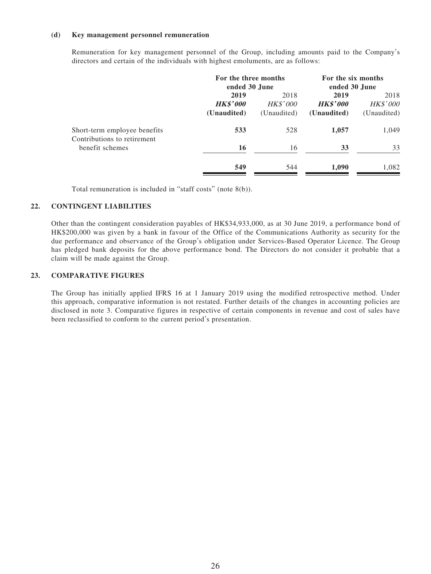#### **(d) Key management personnel remuneration**

Remuneration for key management personnel of the Group, including amounts paid to the Company's directors and certain of the individuals with highest emoluments, are as follows:

|                                                             | For the three months<br>ended 30 June  |                                        | For the six months<br>ended 30 June    |                                 |
|-------------------------------------------------------------|----------------------------------------|----------------------------------------|----------------------------------------|---------------------------------|
|                                                             | 2019<br><b>HK\$'000</b><br>(Unaudited) | 2018<br><i>HK\$'000</i><br>(Unaudited) | 2019<br><b>HK\$'000</b><br>(Unaudited) | 2018<br>HK\$'000<br>(Unaudited) |
| Short-term employee benefits<br>Contributions to retirement | 533                                    | 528                                    | 1,057                                  | 1,049                           |
| benefit schemes                                             | 16                                     | 16                                     | 33                                     | 33                              |
|                                                             | 549                                    | 544                                    | 1,090                                  | 1,082                           |

Total remuneration is included in "staff costs" (note 8(b)).

#### **22. CONTINGENT LIABILITIES**

Other than the contingent consideration payables of HK\$34,933,000, as at 30 June 2019, a performance bond of HK\$200,000 was given by a bank in favour of the Office of the Communications Authority as security for the due performance and observance of the Group's obligation under Services-Based Operator Licence. The Group has pledged bank deposits for the above performance bond. The Directors do not consider it probable that a claim will be made against the Group.

#### **23. COMPARATIVE FIGURES**

The Group has initially applied IFRS 16 at 1 January 2019 using the modified retrospective method. Under this approach, comparative information is not restated. Further details of the changes in accounting policies are disclosed in note 3. Comparative figures in respective of certain components in revenue and cost of sales have been reclassified to conform to the current period's presentation.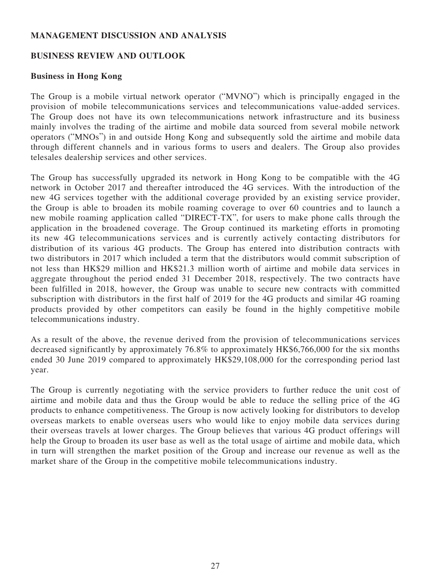## **MANAGEMENT DISCUSSION AND ANALYSIS**

## **BUSINESS REVIEW AND OUTLOOK**

## **Business in Hong Kong**

The Group is a mobile virtual network operator ("MVNO") which is principally engaged in the provision of mobile telecommunications services and telecommunications value-added services. The Group does not have its own telecommunications network infrastructure and its business mainly involves the trading of the airtime and mobile data sourced from several mobile network operators ("MNOs") in and outside Hong Kong and subsequently sold the airtime and mobile data through different channels and in various forms to users and dealers. The Group also provides telesales dealership services and other services.

The Group has successfully upgraded its network in Hong Kong to be compatible with the 4G network in October 2017 and thereafter introduced the 4G services. With the introduction of the new 4G services together with the additional coverage provided by an existing service provider, the Group is able to broaden its mobile roaming coverage to over 60 countries and to launch a new mobile roaming application called "DIRECT-TX", for users to make phone calls through the application in the broadened coverage. The Group continued its marketing efforts in promoting its new 4G telecommunications services and is currently actively contacting distributors for distribution of its various 4G products. The Group has entered into distribution contracts with two distributors in 2017 which included a term that the distributors would commit subscription of not less than HK\$29 million and HK\$21.3 million worth of airtime and mobile data services in aggregate throughout the period ended 31 December 2018, respectively. The two contracts have been fulfilled in 2018, however, the Group was unable to secure new contracts with committed subscription with distributors in the first half of 2019 for the 4G products and similar 4G roaming products provided by other competitors can easily be found in the highly competitive mobile telecommunications industry.

As a result of the above, the revenue derived from the provision of telecommunications services decreased significantly by approximately 76.8% to approximately HK\$6,766,000 for the six months ended 30 June 2019 compared to approximately HK\$29,108,000 for the corresponding period last year.

The Group is currently negotiating with the service providers to further reduce the unit cost of airtime and mobile data and thus the Group would be able to reduce the selling price of the 4G products to enhance competitiveness. The Group is now actively looking for distributors to develop overseas markets to enable overseas users who would like to enjoy mobile data services during their overseas travels at lower charges. The Group believes that various 4G product offerings will help the Group to broaden its user base as well as the total usage of airtime and mobile data, which in turn will strengthen the market position of the Group and increase our revenue as well as the market share of the Group in the competitive mobile telecommunications industry.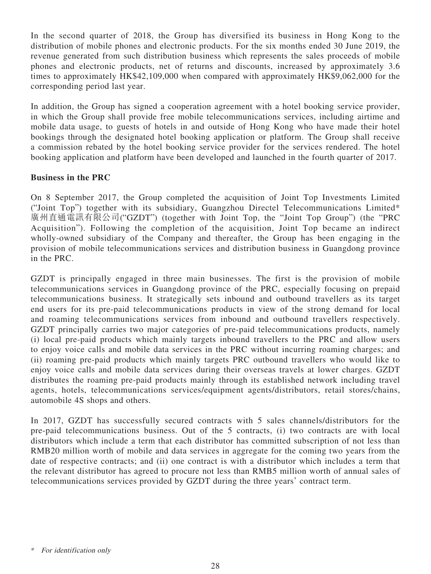In the second quarter of 2018, the Group has diversified its business in Hong Kong to the distribution of mobile phones and electronic products. For the six months ended 30 June 2019, the revenue generated from such distribution business which represents the sales proceeds of mobile phones and electronic products, net of returns and discounts, increased by approximately 3.6 times to approximately HK\$42,109,000 when compared with approximately HK\$9,062,000 for the corresponding period last year.

In addition, the Group has signed a cooperation agreement with a hotel booking service provider, in which the Group shall provide free mobile telecommunications services, including airtime and mobile data usage, to guests of hotels in and outside of Hong Kong who have made their hotel bookings through the designated hotel booking application or platform. The Group shall receive a commission rebated by the hotel booking service provider for the services rendered. The hotel booking application and platform have been developed and launched in the fourth quarter of 2017.

## **Business in the PRC**

On 8 September 2017, the Group completed the acquisition of Joint Top Investments Limited ("Joint Top") together with its subsidiary, Guangzhou Directel Telecommunications Limited\* 廣州直通電訊有限公司("GZDT") (together with Joint Top, the "Joint Top Group") (the "PRC Acquisition"). Following the completion of the acquisition, Joint Top became an indirect wholly-owned subsidiary of the Company and thereafter, the Group has been engaging in the provision of mobile telecommunications services and distribution business in Guangdong province in the PRC.

GZDT is principally engaged in three main businesses. The first is the provision of mobile telecommunications services in Guangdong province of the PRC, especially focusing on prepaid telecommunications business. It strategically sets inbound and outbound travellers as its target end users for its pre-paid telecommunications products in view of the strong demand for local and roaming telecommunications services from inbound and outbound travellers respectively. GZDT principally carries two major categories of pre-paid telecommunications products, namely (i) local pre-paid products which mainly targets inbound travellers to the PRC and allow users to enjoy voice calls and mobile data services in the PRC without incurring roaming charges; and (ii) roaming pre-paid products which mainly targets PRC outbound travellers who would like to enjoy voice calls and mobile data services during their overseas travels at lower charges. GZDT distributes the roaming pre-paid products mainly through its established network including travel agents, hotels, telecommunications services/equipment agents/distributors, retail stores/chains, automobile 4S shops and others.

In 2017, GZDT has successfully secured contracts with 5 sales channels/distributors for the pre-paid telecommunications business. Out of the 5 contracts, (i) two contracts are with local distributors which include a term that each distributor has committed subscription of not less than RMB20 million worth of mobile and data services in aggregate for the coming two years from the date of respective contracts; and (ii) one contract is with a distributor which includes a term that the relevant distributor has agreed to procure not less than RMB5 million worth of annual sales of telecommunications services provided by GZDT during the three years' contract term.

For identification only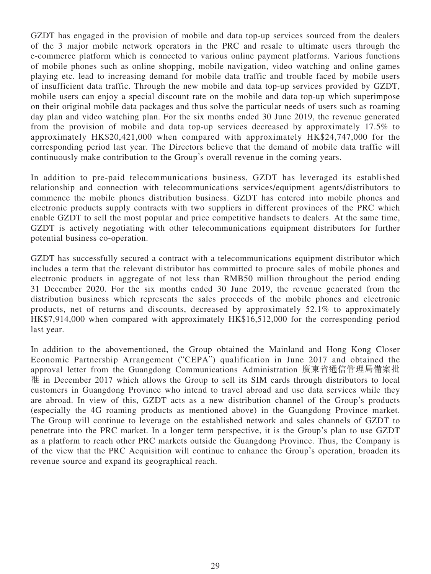GZDT has engaged in the provision of mobile and data top-up services sourced from the dealers of the 3 major mobile network operators in the PRC and resale to ultimate users through the e-commerce platform which is connected to various online payment platforms. Various functions of mobile phones such as online shopping, mobile navigation, video watching and online games playing etc. lead to increasing demand for mobile data traffic and trouble faced by mobile users of insufficient data traffic. Through the new mobile and data top-up services provided by GZDT, mobile users can enjoy a special discount rate on the mobile and data top-up which superimpose on their original mobile data packages and thus solve the particular needs of users such as roaming day plan and video watching plan. For the six months ended 30 June 2019, the revenue generated from the provision of mobile and data top-up services decreased by approximately 17.5% to approximately HK\$20,421,000 when compared with approximately HK\$24,747,000 for the corresponding period last year. The Directors believe that the demand of mobile data traffic will continuously make contribution to the Group's overall revenue in the coming years.

In addition to pre-paid telecommunications business, GZDT has leveraged its established relationship and connection with telecommunications services/equipment agents/distributors to commence the mobile phones distribution business. GZDT has entered into mobile phones and electronic products supply contracts with two suppliers in different provinces of the PRC which enable GZDT to sell the most popular and price competitive handsets to dealers. At the same time, GZDT is actively negotiating with other telecommunications equipment distributors for further potential business co-operation.

GZDT has successfully secured a contract with a telecommunications equipment distributor which includes a term that the relevant distributor has committed to procure sales of mobile phones and electronic products in aggregate of not less than RMB50 million throughout the period ending 31 December 2020. For the six months ended 30 June 2019, the revenue generated from the distribution business which represents the sales proceeds of the mobile phones and electronic products, net of returns and discounts, decreased by approximately 52.1% to approximately HK\$7,914,000 when compared with approximately HK\$16,512,000 for the corresponding period last year.

In addition to the abovementioned, the Group obtained the Mainland and Hong Kong Closer Economic Partnership Arrangement ("CEPA") qualification in June 2017 and obtained the approval letter from the Guangdong Communications Administration 廣東省通信管理局備案批 准 in December 2017 which allows the Group to sell its SIM cards through distributors to local customers in Guangdong Province who intend to travel abroad and use data services while they are abroad. In view of this, GZDT acts as a new distribution channel of the Group's products (especially the 4G roaming products as mentioned above) in the Guangdong Province market. The Group will continue to leverage on the established network and sales channels of GZDT to penetrate into the PRC market. In a longer term perspective, it is the Group's plan to use GZDT as a platform to reach other PRC markets outside the Guangdong Province. Thus, the Company is of the view that the PRC Acquisition will continue to enhance the Group's operation, broaden its revenue source and expand its geographical reach.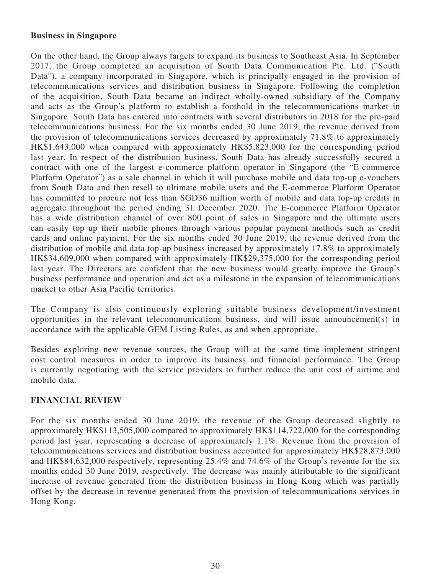## **Business in Singapore**

On the other hand, the Group always targets to expand its business to Southeast Asia. In September 2017, the Group completed an acquisition of South Data Communication Pte. Ltd. ("South Data"), a company incorporated in Singapore, which is principally engaged in the provision of telecommunications services and distribution business in Singapore. Following the completion of the acquisition, South Data became an indirect wholly-owned subsidiary of the Company and acts as the Group's platform to establish a foothold in the telecommunications market in Singapore. South Data has entered into contracts with several distributors in 2018 for the pre-paid telecommunications business. For the six months ended 30 June 2019, the revenue derived from the provision of telecommunications services decreased by approximately 71.8% to approximately HK\$1,643,000 when compared with approximately HK\$5,823,000 for the corresponding period last year. In respect of the distribution business, South Data has already successfully secured a contract with one of the largest e-commerce platform operator in Singapore (the "E-commerce Platform Operator") as a sale channel in which it will purchase mobile and data top-up e-vouchers from South Data and then resell to ultimate mobile users and the E-commerce Platform Operator has committed to procure not less than SGD36 million worth of mobile and data top-up credits in aggregate throughout the period ending 31 December 2020. The E-commerce Platform Operator has a wide distribution channel of over 800 point of sales in Singapore and the ultimate users can easily top up their mobile phones through various popular payment methods such as credit cards and online payment. For the six months ended 30 June 2019, the revenue derived from the distribution of mobile and data top-up business increased by approximately 17.8% to approximately HK\$34,609,000 when compared with approximately HK\$29,375,000 for the corresponding period last year. The Directors are confident that the new business would greatly improve the Group's business performance and operation and act as a milestone in the expansion of telecommunications market to other Asia Pacific territories.

The Company is also continuously exploring suitable business development/investment opportunities in the relevant telecommunications business, and will issue announcement(s) in accordance with the applicable GEM Listing Rules, as and when appropriate.

Besides exploring new revenue sources, the Group will at the same time implement stringent cost control measures in order to improve its business and financial performance. The Group is currently negotiating with the service providers to further reduce the unit cost of airtime and mobile data.

## **FINANCIAL REVIEW**

For the six months ended 30 June 2019, the revenue of the Group decreased slightly to approximately HK\$113,505,000 compared to approximately HK\$114,722,000 for the corresponding period last year, representing a decrease of approximately 1.1%. Revenue from the provision of telecommunications services and distribution business accounted for approximately HK\$28,873,000 and HK\$84,632,000 respectively, representing 25.4% and 74.6% of the Group's revenue for the six months ended 30 June 2019, respectively. The decrease was mainly attributable to the significant increase of revenue generated from the distribution business in Hong Kong which was partially offset by the decrease in revenue generated from the provision of telecommunications services in Hong Kong.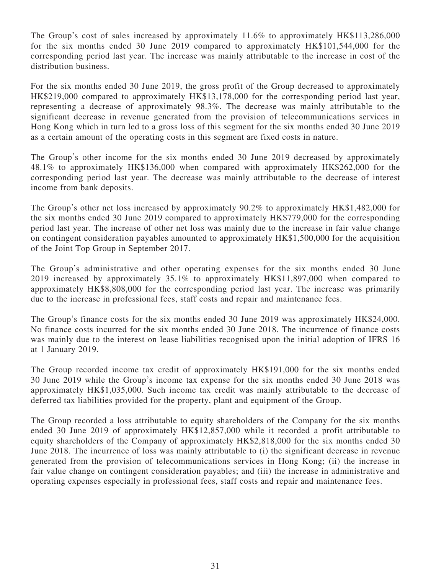The Group's cost of sales increased by approximately 11.6% to approximately HK\$113,286,000 for the six months ended 30 June 2019 compared to approximately HK\$101,544,000 for the corresponding period last year. The increase was mainly attributable to the increase in cost of the distribution business.

For the six months ended 30 June 2019, the gross profit of the Group decreased to approximately HK\$219,000 compared to approximately HK\$13,178,000 for the corresponding period last year, representing a decrease of approximately 98.3%. The decrease was mainly attributable to the significant decrease in revenue generated from the provision of telecommunications services in Hong Kong which in turn led to a gross loss of this segment for the six months ended 30 June 2019 as a certain amount of the operating costs in this segment are fixed costs in nature.

The Group's other income for the six months ended 30 June 2019 decreased by approximately 48.1% to approximately HK\$136,000 when compared with approximately HK\$262,000 for the corresponding period last year. The decrease was mainly attributable to the decrease of interest income from bank deposits.

The Group's other net loss increased by approximately 90.2% to approximately HK\$1,482,000 for the six months ended 30 June 2019 compared to approximately HK\$779,000 for the corresponding period last year. The increase of other net loss was mainly due to the increase in fair value change on contingent consideration payables amounted to approximately HK\$1,500,000 for the acquisition of the Joint Top Group in September 2017.

The Group's administrative and other operating expenses for the six months ended 30 June 2019 increased by approximately 35.1% to approximately HK\$11,897,000 when compared to approximately HK\$8,808,000 for the corresponding period last year. The increase was primarily due to the increase in professional fees, staff costs and repair and maintenance fees.

The Group's finance costs for the six months ended 30 June 2019 was approximately HK\$24,000. No finance costs incurred for the six months ended 30 June 2018. The incurrence of finance costs was mainly due to the interest on lease liabilities recognised upon the initial adoption of IFRS 16 at 1 January 2019.

The Group recorded income tax credit of approximately HK\$191,000 for the six months ended 30 June 2019 while the Group's income tax expense for the six months ended 30 June 2018 was approximately HK\$1,035,000. Such income tax credit was mainly attributable to the decrease of deferred tax liabilities provided for the property, plant and equipment of the Group.

The Group recorded a loss attributable to equity shareholders of the Company for the six months ended 30 June 2019 of approximately HK\$12,857,000 while it recorded a profit attributable to equity shareholders of the Company of approximately HK\$2,818,000 for the six months ended 30 June 2018. The incurrence of loss was mainly attributable to (i) the significant decrease in revenue generated from the provision of telecommunications services in Hong Kong; (ii) the increase in fair value change on contingent consideration payables; and (iii) the increase in administrative and operating expenses especially in professional fees, staff costs and repair and maintenance fees.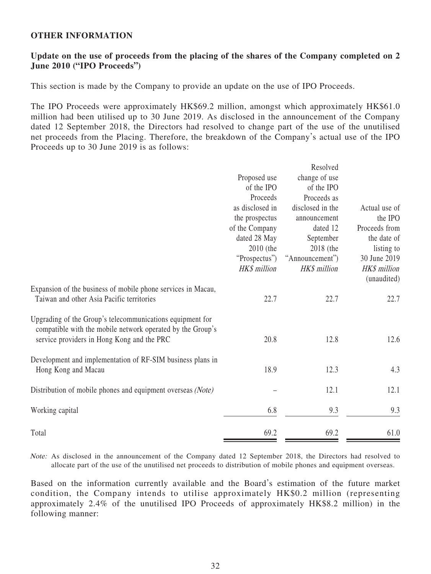## **OTHER INFORMATION**

## **Update on the use of proceeds from the placing of the shares of the Company completed on 2 June 2010 ("IPO Proceeds")**

This section is made by the Company to provide an update on the use of IPO Proceeds.

The IPO Proceeds were approximately HK\$69.2 million, amongst which approximately HK\$61.0 million had been utilised up to 30 June 2019. As disclosed in the announcement of the Company dated 12 September 2018, the Directors had resolved to change part of the use of the unutilised net proceeds from the Placing. Therefore, the breakdown of the Company's actual use of the IPO Proceeds up to 30 June 2019 is as follows:

|                                                                                                                         |                 | Resolved         |                             |
|-------------------------------------------------------------------------------------------------------------------------|-----------------|------------------|-----------------------------|
|                                                                                                                         | Proposed use    | change of use    |                             |
|                                                                                                                         | of the IPO      | of the IPO       |                             |
|                                                                                                                         | Proceeds        | Proceeds as      |                             |
|                                                                                                                         | as disclosed in | disclosed in the | Actual use of               |
|                                                                                                                         | the prospectus  | announcement     | the IPO                     |
|                                                                                                                         | of the Company  | dated 12         | Proceeds from               |
|                                                                                                                         | dated 28 May    | September        | the date of                 |
|                                                                                                                         | 2010 (the       | 2018 (the        | listing to                  |
|                                                                                                                         | "Prospectus")   | "Announcement")  | 30 June 2019                |
|                                                                                                                         | HK\$ million    | HK\$ million     | HK\$ million<br>(unaudited) |
| Expansion of the business of mobile phone services in Macau,                                                            |                 |                  |                             |
| Taiwan and other Asia Pacific territories                                                                               | 22.7            | 22.7             | 22.7                        |
| Upgrading of the Group's telecommunications equipment for<br>compatible with the mobile network operated by the Group's |                 |                  |                             |
| service providers in Hong Kong and the PRC                                                                              | 20.8            | 12.8             | 12.6                        |
| Development and implementation of RF-SIM business plans in                                                              |                 |                  |                             |
| Hong Kong and Macau                                                                                                     | 18.9            | 12.3             | 4.3                         |
| Distribution of mobile phones and equipment overseas (Note)                                                             |                 | 12.1             | 12.1                        |
|                                                                                                                         |                 |                  |                             |
| Working capital                                                                                                         | 6.8             | 9.3              | 9.3                         |
| Total                                                                                                                   | 69.2            | 69.2             | 61.0                        |
|                                                                                                                         |                 |                  |                             |

Note: As disclosed in the announcement of the Company dated 12 September 2018, the Directors had resolved to allocate part of the use of the unutilised net proceeds to distribution of mobile phones and equipment overseas.

Based on the information currently available and the Board's estimation of the future market condition, the Company intends to utilise approximately HK\$0.2 million (representing approximately 2.4% of the unutilised IPO Proceeds of approximately HK\$8.2 million) in the following manner: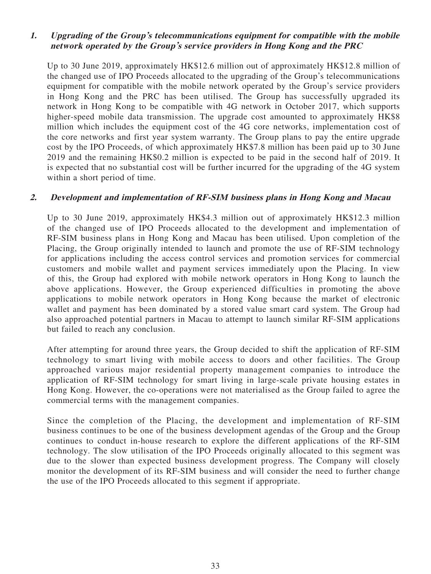## **1. Upgrading of the Group's telecommunications equipment for compatible with the mobile network operated by the Group's service providers in Hong Kong and the PRC**

Up to 30 June 2019, approximately HK\$12.6 million out of approximately HK\$12.8 million of the changed use of IPO Proceeds allocated to the upgrading of the Group's telecommunications equipment for compatible with the mobile network operated by the Group's service providers in Hong Kong and the PRC has been utilised. The Group has successfully upgraded its network in Hong Kong to be compatible with 4G network in October 2017, which supports higher-speed mobile data transmission. The upgrade cost amounted to approximately HK\$8 million which includes the equipment cost of the 4G core networks, implementation cost of the core networks and first year system warranty. The Group plans to pay the entire upgrade cost by the IPO Proceeds, of which approximately HK\$7.8 million has been paid up to 30 June 2019 and the remaining HK\$0.2 million is expected to be paid in the second half of 2019. It is expected that no substantial cost will be further incurred for the upgrading of the 4G system within a short period of time.

## **2. Development and implementation of RF-SIM business plans in Hong Kong and Macau**

Up to 30 June 2019, approximately HK\$4.3 million out of approximately HK\$12.3 million of the changed use of IPO Proceeds allocated to the development and implementation of RF-SIM business plans in Hong Kong and Macau has been utilised. Upon completion of the Placing, the Group originally intended to launch and promote the use of RF-SIM technology for applications including the access control services and promotion services for commercial customers and mobile wallet and payment services immediately upon the Placing. In view of this, the Group had explored with mobile network operators in Hong Kong to launch the above applications. However, the Group experienced difficulties in promoting the above applications to mobile network operators in Hong Kong because the market of electronic wallet and payment has been dominated by a stored value smart card system. The Group had also approached potential partners in Macau to attempt to launch similar RF-SIM applications but failed to reach any conclusion.

After attempting for around three years, the Group decided to shift the application of RF-SIM technology to smart living with mobile access to doors and other facilities. The Group approached various major residential property management companies to introduce the application of RF-SIM technology for smart living in large-scale private housing estates in Hong Kong. However, the co-operations were not materialised as the Group failed to agree the commercial terms with the management companies.

Since the completion of the Placing, the development and implementation of RF-SIM business continues to be one of the business development agendas of the Group and the Group continues to conduct in-house research to explore the different applications of the RF-SIM technology. The slow utilisation of the IPO Proceeds originally allocated to this segment was due to the slower than expected business development progress. The Company will closely monitor the development of its RF-SIM business and will consider the need to further change the use of the IPO Proceeds allocated to this segment if appropriate.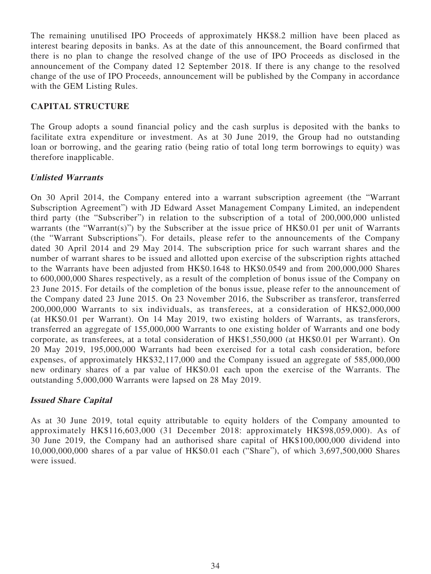The remaining unutilised IPO Proceeds of approximately HK\$8.2 million have been placed as interest bearing deposits in banks. As at the date of this announcement, the Board confirmed that there is no plan to change the resolved change of the use of IPO Proceeds as disclosed in the announcement of the Company dated 12 September 2018. If there is any change to the resolved change of the use of IPO Proceeds, announcement will be published by the Company in accordance with the GEM Listing Rules.

# **CAPITAL STRUCTURE**

The Group adopts a sound financial policy and the cash surplus is deposited with the banks to facilitate extra expenditure or investment. As at 30 June 2019, the Group had no outstanding loan or borrowing, and the gearing ratio (being ratio of total long term borrowings to equity) was therefore inapplicable.

## **Unlisted Warrants**

On 30 April 2014, the Company entered into a warrant subscription agreement (the "Warrant Subscription Agreement") with JD Edward Asset Management Company Limited, an independent third party (the "Subscriber") in relation to the subscription of a total of 200,000,000 unlisted warrants (the "Warrant(s)") by the Subscriber at the issue price of HK\$0.01 per unit of Warrants (the "Warrant Subscriptions"). For details, please refer to the announcements of the Company dated 30 April 2014 and 29 May 2014. The subscription price for such warrant shares and the number of warrant shares to be issued and allotted upon exercise of the subscription rights attached to the Warrants have been adjusted from HK\$0.1648 to HK\$0.0549 and from 200,000,000 Shares to 600,000,000 Shares respectively, as a result of the completion of bonus issue of the Company on 23 June 2015. For details of the completion of the bonus issue, please refer to the announcement of the Company dated 23 June 2015. On 23 November 2016, the Subscriber as transferor, transferred 200,000,000 Warrants to six individuals, as transferees, at a consideration of HK\$2,000,000 (at HK\$0.01 per Warrant). On 14 May 2019, two existing holders of Warrants, as transferors, transferred an aggregate of 155,000,000 Warrants to one existing holder of Warrants and one body corporate, as transferees, at a total consideration of HK\$1,550,000 (at HK\$0.01 per Warrant). On 20 May 2019, 195,000,000 Warrants had been exercised for a total cash consideration, before expenses, of approximately HK\$32,117,000 and the Company issued an aggregate of 585,000,000 new ordinary shares of a par value of HK\$0.01 each upon the exercise of the Warrants. The outstanding 5,000,000 Warrants were lapsed on 28 May 2019.

## **Issued Share Capital**

As at 30 June 2019, total equity attributable to equity holders of the Company amounted to approximately HK\$116,603,000 (31 December 2018: approximately HK\$98,059,000). As of 30 June 2019, the Company had an authorised share capital of HK\$100,000,000 dividend into 10,000,000,000 shares of a par value of HK\$0.01 each ("Share"), of which 3,697,500,000 Shares were issued.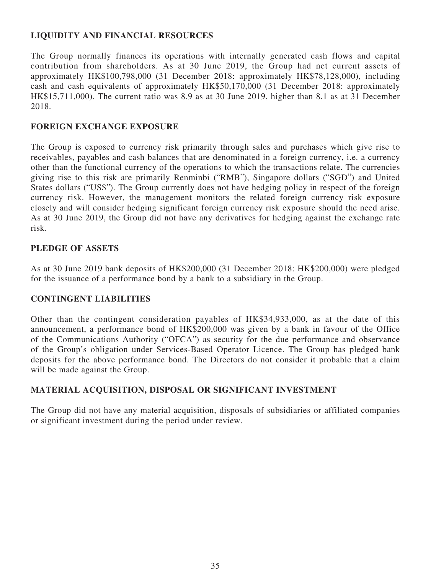# **LIQUIDITY AND FINANCIAL RESOURCES**

The Group normally finances its operations with internally generated cash flows and capital contribution from shareholders. As at 30 June 2019, the Group had net current assets of approximately HK\$100,798,000 (31 December 2018: approximately HK\$78,128,000), including cash and cash equivalents of approximately HK\$50,170,000 (31 December 2018: approximately HK\$15,711,000). The current ratio was 8.9 as at 30 June 2019, higher than 8.1 as at 31 December 2018.

## **FOREIGN EXCHANGE EXPOSURE**

The Group is exposed to currency risk primarily through sales and purchases which give rise to receivables, payables and cash balances that are denominated in a foreign currency, i.e. a currency other than the functional currency of the operations to which the transactions relate. The currencies giving rise to this risk are primarily Renminbi ("RMB"), Singapore dollars ("SGD") and United States dollars ("US\$"). The Group currently does not have hedging policy in respect of the foreign currency risk. However, the management monitors the related foreign currency risk exposure closely and will consider hedging significant foreign currency risk exposure should the need arise. As at 30 June 2019, the Group did not have any derivatives for hedging against the exchange rate risk.

# **PLEDGE OF ASSETS**

As at 30 June 2019 bank deposits of HK\$200,000 (31 December 2018: HK\$200,000) were pledged for the issuance of a performance bond by a bank to a subsidiary in the Group.

## **CONTINGENT LIABILITIES**

Other than the contingent consideration payables of HK\$34,933,000, as at the date of this announcement, a performance bond of HK\$200,000 was given by a bank in favour of the Office of the Communications Authority ("OFCA") as security for the due performance and observance of the Group's obligation under Services-Based Operator Licence. The Group has pledged bank deposits for the above performance bond. The Directors do not consider it probable that a claim will be made against the Group.

## **MATERIAL ACQUISITION, DISPOSAL OR SIGNIFICANT INVESTMENT**

The Group did not have any material acquisition, disposals of subsidiaries or affiliated companies or significant investment during the period under review.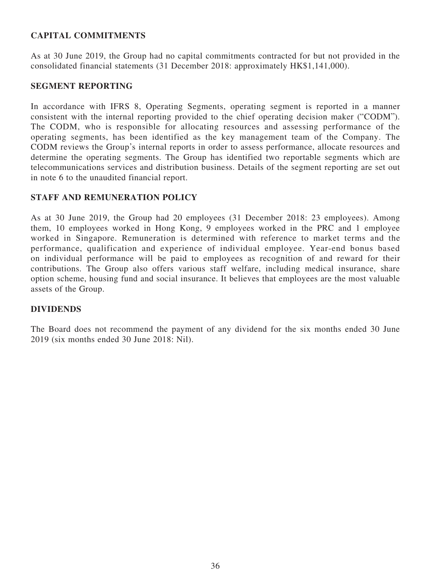# **CAPITAL COMMITMENTS**

As at 30 June 2019, the Group had no capital commitments contracted for but not provided in the consolidated financial statements (31 December 2018: approximately HK\$1,141,000).

## **SEGMENT REPORTING**

In accordance with IFRS 8, Operating Segments, operating segment is reported in a manner consistent with the internal reporting provided to the chief operating decision maker ("CODM"). The CODM, who is responsible for allocating resources and assessing performance of the operating segments, has been identified as the key management team of the Company. The CODM reviews the Group's internal reports in order to assess performance, allocate resources and determine the operating segments. The Group has identified two reportable segments which are telecommunications services and distribution business. Details of the segment reporting are set out in note 6 to the unaudited financial report.

## **STAFF AND REMUNERATION POLICY**

As at 30 June 2019, the Group had 20 employees (31 December 2018: 23 employees). Among them, 10 employees worked in Hong Kong, 9 employees worked in the PRC and 1 employee worked in Singapore. Remuneration is determined with reference to market terms and the performance, qualification and experience of individual employee. Year-end bonus based on individual performance will be paid to employees as recognition of and reward for their contributions. The Group also offers various staff welfare, including medical insurance, share option scheme, housing fund and social insurance. It believes that employees are the most valuable assets of the Group.

## **DIVIDENDS**

The Board does not recommend the payment of any dividend for the six months ended 30 June 2019 (six months ended 30 June 2018: Nil).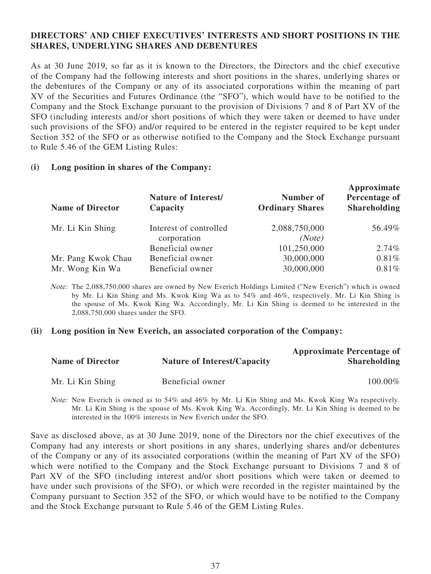## **DIRECTORS' AND CHIEF EXECUTIVES' INTERESTS AND SHORT POSITIONS IN THE SHARES, UNDERLYING SHARES AND DEBENTURES**

As at 30 June 2019, so far as it is known to the Directors, the Directors and the chief executive of the Company had the following interests and short positions in the shares, underlying shares or the debentures of the Company or any of its associated corporations within the meaning of part XV of the Securities and Futures Ordinance (the "SFO"), which would have to be notified to the Company and the Stock Exchange pursuant to the provision of Divisions 7 and 8 of Part XV of the SFO (including interests and/or short positions of which they were taken or deemed to have under such provisions of the SFO) and/or required to be entered in the register required to be kept under Section 352 of the SFO or as otherwise notified to the Company and the Stock Exchange pursuant to Rule 5.46 of the GEM Listing Rules:

## **(i) Long position in shares of the Company:**

| <b>Name of Director</b> | <b>Nature of Interest/</b><br>Capacity | Number of<br><b>Ordinary Shares</b> | Approximate<br>Percentage of<br><b>Shareholding</b> |
|-------------------------|----------------------------------------|-------------------------------------|-----------------------------------------------------|
| Mr. Li Kin Shing        | Interest of controlled<br>corporation  | 2,088,750,000<br>(Note)             | 56.49%                                              |
|                         | Beneficial owner                       | 101,250,000                         | 2.74%                                               |
| Mr. Pang Kwok Chau      | Beneficial owner                       | 30,000,000                          | 0.81%                                               |
| Mr. Wong Kin Wa         | Beneficial owner                       | 30,000,000                          | 0.81%                                               |

Note: The 2,088,750,000 shares are owned by New Everich Holdings Limited ("New Everich") which is owned by Mr. Li Kin Shing and Ms. Kwok King Wa as to 54% and 46%, respectively. Mr. Li Kin Shing is the spouse of Ms. Kwok King Wa. Accordingly, Mr. Li Kin Shing is deemed to be interested in the 2,088,750,000 shares under the SFO.

### **(ii) Long position in New Everich, an associated corporation of the Company:**

| <b>Name of Director</b> | <b>Nature of Interest/Capacity</b> | <b>Approximate Percentage of</b><br><b>Shareholding</b> |
|-------------------------|------------------------------------|---------------------------------------------------------|
| Mr. Li Kin Shing        | Beneficial owner                   | $100.00\%$                                              |

Note: New Everich is owned as to 54% and 46% by Mr. Li Kin Shing and Ms. Kwok King Wa respectively. Mr. Li Kin Shing is the spouse of Ms. Kwok King Wa. Accordingly, Mr. Li Kin Shing is deemed to be interested in the 100% interests in New Everich under the SFO.

Save as disclosed above, as at 30 June 2019, none of the Directors nor the chief executives of the Company had any interests or short positions in any shares, underlying shares and/or debentures of the Company or any of its associated corporations (within the meaning of Part XV of the SFO) which were notified to the Company and the Stock Exchange pursuant to Divisions 7 and 8 of Part XV of the SFO (including interest and/or short positions which were taken or deemed to have under such provisions of the SFO), or which were recorded in the register maintained by the Company pursuant to Section 352 of the SFO, or which would have to be notified to the Company and the Stock Exchange pursuant to Rule 5.46 of the GEM Listing Rules.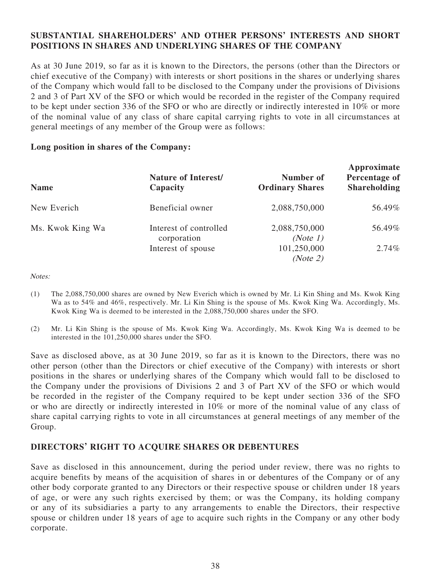## **SUBSTANTIAL SHAREHOLDERS' AND OTHER PERSONS' INTERESTS AND SHORT POSITIONS IN SHARES AND UNDERLYING SHARES OF THE COMPANY**

As at 30 June 2019, so far as it is known to the Directors, the persons (other than the Directors or chief executive of the Company) with interests or short positions in the shares or underlying shares of the Company which would fall to be disclosed to the Company under the provisions of Divisions 2 and 3 of Part XV of the SFO or which would be recorded in the register of the Company required to be kept under section 336 of the SFO or who are directly or indirectly interested in 10% or more of the nominal value of any class of share capital carrying rights to vote in all circumstances at general meetings of any member of the Group were as follows:

## **Long position in shares of the Company:**

| <b>Name</b>      | <b>Nature of Interest/</b><br>Capacity | Number of<br><b>Ordinary Shares</b> | $A$ ppi valindit<br>Percentage of<br><b>Shareholding</b> |
|------------------|----------------------------------------|-------------------------------------|----------------------------------------------------------|
| New Everich      | Beneficial owner                       | 2,088,750,000                       | 56.49%                                                   |
| Ms. Kwok King Wa | Interest of controlled<br>corporation  | 2,088,750,000<br>(Note 1)           | 56.49%                                                   |
|                  | Interest of spouse                     | 101,250,000<br>(Note 2)             | 2.74%                                                    |

**Approximate**

Notes:

- (1) The 2,088,750,000 shares are owned by New Everich which is owned by Mr. Li Kin Shing and Ms. Kwok King Wa as to 54% and 46%, respectively. Mr. Li Kin Shing is the spouse of Ms. Kwok King Wa. Accordingly, Ms. Kwok King Wa is deemed to be interested in the 2,088,750,000 shares under the SFO.
- (2) Mr. Li Kin Shing is the spouse of Ms. Kwok King Wa. Accordingly, Ms. Kwok King Wa is deemed to be interested in the 101,250,000 shares under the SFO.

Save as disclosed above, as at 30 June 2019, so far as it is known to the Directors, there was no other person (other than the Directors or chief executive of the Company) with interests or short positions in the shares or underlying shares of the Company which would fall to be disclosed to the Company under the provisions of Divisions 2 and 3 of Part XV of the SFO or which would be recorded in the register of the Company required to be kept under section 336 of the SFO or who are directly or indirectly interested in 10% or more of the nominal value of any class of share capital carrying rights to vote in all circumstances at general meetings of any member of the Group.

## **DIRECTORS' RIGHT TO ACQUIRE SHARES OR DEBENTURES**

Save as disclosed in this announcement, during the period under review, there was no rights to acquire benefits by means of the acquisition of shares in or debentures of the Company or of any other body corporate granted to any Directors or their respective spouse or children under 18 years of age, or were any such rights exercised by them; or was the Company, its holding company or any of its subsidiaries a party to any arrangements to enable the Directors, their respective spouse or children under 18 years of age to acquire such rights in the Company or any other body corporate.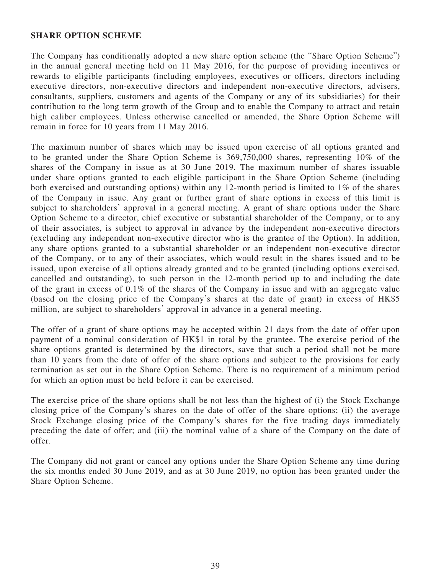### **SHARE OPTION SCHEME**

The Company has conditionally adopted a new share option scheme (the "Share Option Scheme") in the annual general meeting held on 11 May 2016, for the purpose of providing incentives or rewards to eligible participants (including employees, executives or officers, directors including executive directors, non-executive directors and independent non-executive directors, advisers, consultants, suppliers, customers and agents of the Company or any of its subsidiaries) for their contribution to the long term growth of the Group and to enable the Company to attract and retain high caliber employees. Unless otherwise cancelled or amended, the Share Option Scheme will remain in force for 10 years from 11 May 2016.

The maximum number of shares which may be issued upon exercise of all options granted and to be granted under the Share Option Scheme is 369,750,000 shares, representing 10% of the shares of the Company in issue as at 30 June 2019. The maximum number of shares issuable under share options granted to each eligible participant in the Share Option Scheme (including both exercised and outstanding options) within any 12-month period is limited to 1% of the shares of the Company in issue. Any grant or further grant of share options in excess of this limit is subject to shareholders' approval in a general meeting. A grant of share options under the Share Option Scheme to a director, chief executive or substantial shareholder of the Company, or to any of their associates, is subject to approval in advance by the independent non-executive directors (excluding any independent non-executive director who is the grantee of the Option). In addition, any share options granted to a substantial shareholder or an independent non-executive director of the Company, or to any of their associates, which would result in the shares issued and to be issued, upon exercise of all options already granted and to be granted (including options exercised, cancelled and outstanding), to such person in the 12-month period up to and including the date of the grant in excess of 0.1% of the shares of the Company in issue and with an aggregate value (based on the closing price of the Company's shares at the date of grant) in excess of HK\$5 million, are subject to shareholders' approval in advance in a general meeting.

The offer of a grant of share options may be accepted within 21 days from the date of offer upon payment of a nominal consideration of HK\$1 in total by the grantee. The exercise period of the share options granted is determined by the directors, save that such a period shall not be more than 10 years from the date of offer of the share options and subject to the provisions for early termination as set out in the Share Option Scheme. There is no requirement of a minimum period for which an option must be held before it can be exercised.

The exercise price of the share options shall be not less than the highest of (i) the Stock Exchange closing price of the Company's shares on the date of offer of the share options; (ii) the average Stock Exchange closing price of the Company's shares for the five trading days immediately preceding the date of offer; and (iii) the nominal value of a share of the Company on the date of offer.

The Company did not grant or cancel any options under the Share Option Scheme any time during the six months ended 30 June 2019, and as at 30 June 2019, no option has been granted under the Share Option Scheme.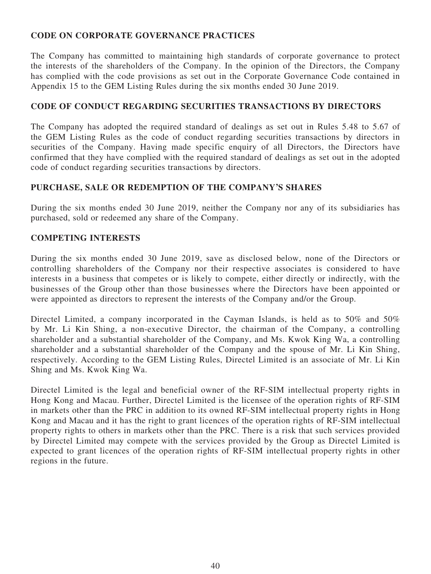# **CODE ON CORPORATE GOVERNANCE PRACTICES**

The Company has committed to maintaining high standards of corporate governance to protect the interests of the shareholders of the Company. In the opinion of the Directors, the Company has complied with the code provisions as set out in the Corporate Governance Code contained in Appendix 15 to the GEM Listing Rules during the six months ended 30 June 2019.

## **CODE OF CONDUCT REGARDING SECURITIES TRANSACTIONS BY DIRECTORS**

The Company has adopted the required standard of dealings as set out in Rules 5.48 to 5.67 of the GEM Listing Rules as the code of conduct regarding securities transactions by directors in securities of the Company. Having made specific enquiry of all Directors, the Directors have confirmed that they have complied with the required standard of dealings as set out in the adopted code of conduct regarding securities transactions by directors.

# **PURCHASE, SALE OR REDEMPTION OF THE COMPANY'S SHARES**

During the six months ended 30 June 2019, neither the Company nor any of its subsidiaries has purchased, sold or redeemed any share of the Company.

# **COMPETING INTERESTS**

During the six months ended 30 June 2019, save as disclosed below, none of the Directors or controlling shareholders of the Company nor their respective associates is considered to have interests in a business that competes or is likely to compete, either directly or indirectly, with the businesses of the Group other than those businesses where the Directors have been appointed or were appointed as directors to represent the interests of the Company and/or the Group.

Directel Limited, a company incorporated in the Cayman Islands, is held as to 50% and 50% by Mr. Li Kin Shing, a non-executive Director, the chairman of the Company, a controlling shareholder and a substantial shareholder of the Company, and Ms. Kwok King Wa, a controlling shareholder and a substantial shareholder of the Company and the spouse of Mr. Li Kin Shing, respectively. According to the GEM Listing Rules, Directel Limited is an associate of Mr. Li Kin Shing and Ms. Kwok King Wa.

Directel Limited is the legal and beneficial owner of the RF-SIM intellectual property rights in Hong Kong and Macau. Further, Directel Limited is the licensee of the operation rights of RF-SIM in markets other than the PRC in addition to its owned RF-SIM intellectual property rights in Hong Kong and Macau and it has the right to grant licences of the operation rights of RF-SIM intellectual property rights to others in markets other than the PRC. There is a risk that such services provided by Directel Limited may compete with the services provided by the Group as Directel Limited is expected to grant licences of the operation rights of RF-SIM intellectual property rights in other regions in the future.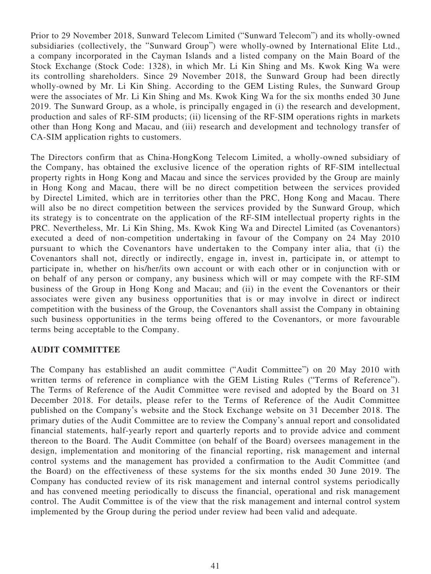Prior to 29 November 2018, Sunward Telecom Limited ("Sunward Telecom") and its wholly-owned subsidiaries (collectively, the "Sunward Group") were wholly-owned by International Elite Ltd., a company incorporated in the Cayman Islands and a listed company on the Main Board of the Stock Exchange (Stock Code: 1328), in which Mr. Li Kin Shing and Ms. Kwok King Wa were its controlling shareholders. Since 29 November 2018, the Sunward Group had been directly wholly-owned by Mr. Li Kin Shing. According to the GEM Listing Rules, the Sunward Group were the associates of Mr. Li Kin Shing and Ms. Kwok King Wa for the six months ended 30 June 2019. The Sunward Group, as a whole, is principally engaged in (i) the research and development, production and sales of RF-SIM products; (ii) licensing of the RF-SIM operations rights in markets other than Hong Kong and Macau, and (iii) research and development and technology transfer of CA-SIM application rights to customers.

The Directors confirm that as China-HongKong Telecom Limited, a wholly-owned subsidiary of the Company, has obtained the exclusive licence of the operation rights of RF-SIM intellectual property rights in Hong Kong and Macau and since the services provided by the Group are mainly in Hong Kong and Macau, there will be no direct competition between the services provided by Directel Limited, which are in territories other than the PRC, Hong Kong and Macau. There will also be no direct competition between the services provided by the Sunward Group, which its strategy is to concentrate on the application of the RF-SIM intellectual property rights in the PRC. Nevertheless, Mr. Li Kin Shing, Ms. Kwok King Wa and Directel Limited (as Covenantors) executed a deed of non-competition undertaking in favour of the Company on 24 May 2010 pursuant to which the Covenantors have undertaken to the Company inter alia, that (i) the Covenantors shall not, directly or indirectly, engage in, invest in, participate in, or attempt to participate in, whether on his/her/its own account or with each other or in conjunction with or on behalf of any person or company, any business which will or may compete with the RF-SIM business of the Group in Hong Kong and Macau; and (ii) in the event the Covenantors or their associates were given any business opportunities that is or may involve in direct or indirect competition with the business of the Group, the Covenantors shall assist the Company in obtaining such business opportunities in the terms being offered to the Covenantors, or more favourable terms being acceptable to the Company.

## **AUDIT COMMITTEE**

The Company has established an audit committee ("Audit Committee") on 20 May 2010 with written terms of reference in compliance with the GEM Listing Rules ("Terms of Reference"). The Terms of Reference of the Audit Committee were revised and adopted by the Board on 31 December 2018. For details, please refer to the Terms of Reference of the Audit Committee published on the Company's website and the Stock Exchange website on 31 December 2018. The primary duties of the Audit Committee are to review the Company's annual report and consolidated financial statements, half-yearly report and quarterly reports and to provide advice and comment thereon to the Board. The Audit Committee (on behalf of the Board) oversees management in the design, implementation and monitoring of the financial reporting, risk management and internal control systems and the management has provided a confirmation to the Audit Committee (and the Board) on the effectiveness of these systems for the six months ended 30 June 2019. The Company has conducted review of its risk management and internal control systems periodically and has convened meeting periodically to discuss the financial, operational and risk management control. The Audit Committee is of the view that the risk management and internal control system implemented by the Group during the period under review had been valid and adequate.